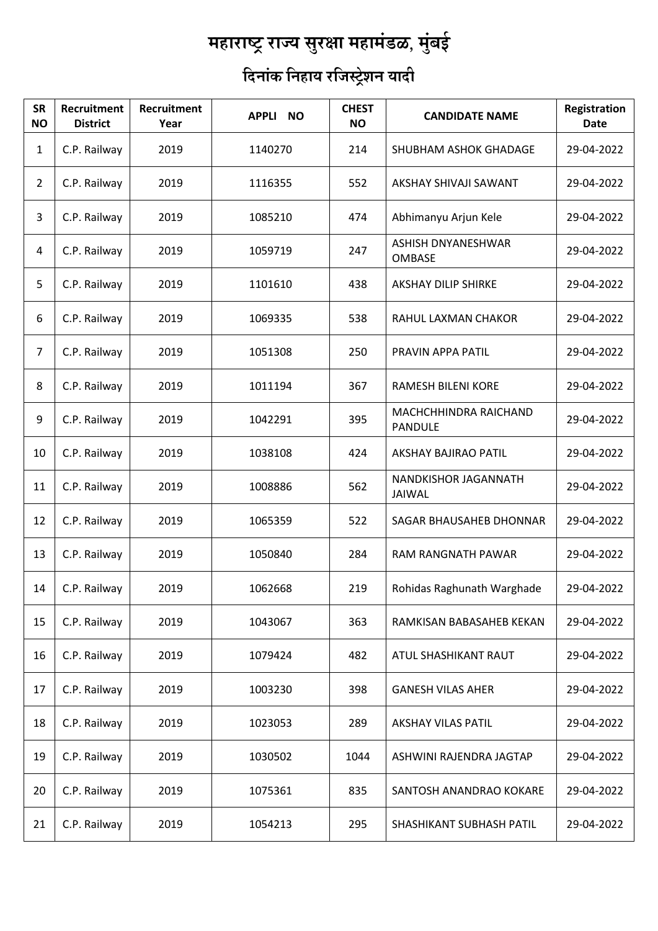## $\overline{\phantom{a}}$ महाराष्ट्र राज्य सुरक्षा महामंडळ, मुंबई

## <u>ि</u>दिनांक निहाय रजिस्ट्रेशन यादी

| <b>SR</b><br><b>NO</b> | <b>Recruitment</b><br><b>District</b> | Recruitment<br>Year | APPLI NO | <b>CHEST</b><br><b>NO</b> | <b>CANDIDATE NAME</b>                   | Registration<br><b>Date</b> |
|------------------------|---------------------------------------|---------------------|----------|---------------------------|-----------------------------------------|-----------------------------|
| 1                      | C.P. Railway                          | 2019                | 1140270  | 214                       | SHUBHAM ASHOK GHADAGE                   | 29-04-2022                  |
| $\overline{2}$         | C.P. Railway                          | 2019                | 1116355  | 552                       | AKSHAY SHIVAJI SAWANT                   | 29-04-2022                  |
| 3                      | C.P. Railway                          | 2019                | 1085210  | 474                       | Abhimanyu Arjun Kele                    | 29-04-2022                  |
| $\overline{4}$         | C.P. Railway                          | 2019                | 1059719  | 247                       | ASHISH DNYANESHWAR<br><b>OMBASE</b>     | 29-04-2022                  |
| 5                      | C.P. Railway                          | 2019                | 1101610  | 438                       | <b>AKSHAY DILIP SHIRKE</b>              | 29-04-2022                  |
| 6                      | C.P. Railway                          | 2019                | 1069335  | 538                       | RAHUL LAXMAN CHAKOR                     | 29-04-2022                  |
| 7                      | C.P. Railway                          | 2019                | 1051308  | 250                       | PRAVIN APPA PATIL                       | 29-04-2022                  |
| 8                      | C.P. Railway                          | 2019                | 1011194  | 367                       | <b>RAMESH BILENI KORE</b>               | 29-04-2022                  |
| 9                      | C.P. Railway                          | 2019                | 1042291  | 395                       | MACHCHHINDRA RAICHAND<br><b>PANDULE</b> | 29-04-2022                  |
| 10                     | C.P. Railway                          | 2019                | 1038108  | 424                       | AKSHAY BAJIRAO PATIL                    | 29-04-2022                  |
| 11                     | C.P. Railway                          | 2019                | 1008886  | 562                       | NANDKISHOR JAGANNATH<br><b>JAIWAL</b>   | 29-04-2022                  |
| 12                     | C.P. Railway                          | 2019                | 1065359  | 522                       | SAGAR BHAUSAHEB DHONNAR                 | 29-04-2022                  |
| 13                     | C.P. Railway                          | 2019                | 1050840  | 284                       | RAM RANGNATH PAWAR                      | 29-04-2022                  |
| 14                     | C.P. Railway                          | 2019                | 1062668  | 219                       | Rohidas Raghunath Warghade              | 29-04-2022                  |
| 15                     | C.P. Railway                          | 2019                | 1043067  | 363                       | RAMKISAN BABASAHEB KEKAN                | 29-04-2022                  |
| 16                     | C.P. Railway                          | 2019                | 1079424  | 482                       | ATUL SHASHIKANT RAUT                    | 29-04-2022                  |
| 17                     | C.P. Railway                          | 2019                | 1003230  | 398                       | <b>GANESH VILAS AHER</b>                | 29-04-2022                  |
| 18                     | C.P. Railway                          | 2019                | 1023053  | 289                       | <b>AKSHAY VILAS PATIL</b>               | 29-04-2022                  |
| 19                     | C.P. Railway                          | 2019                | 1030502  | 1044                      | ASHWINI RAJENDRA JAGTAP                 | 29-04-2022                  |
| 20                     | C.P. Railway                          | 2019                | 1075361  | 835                       | SANTOSH ANANDRAO KOKARE                 | 29-04-2022                  |
| 21                     | C.P. Railway                          | 2019                | 1054213  | 295                       | SHASHIKANT SUBHASH PATIL                | 29-04-2022                  |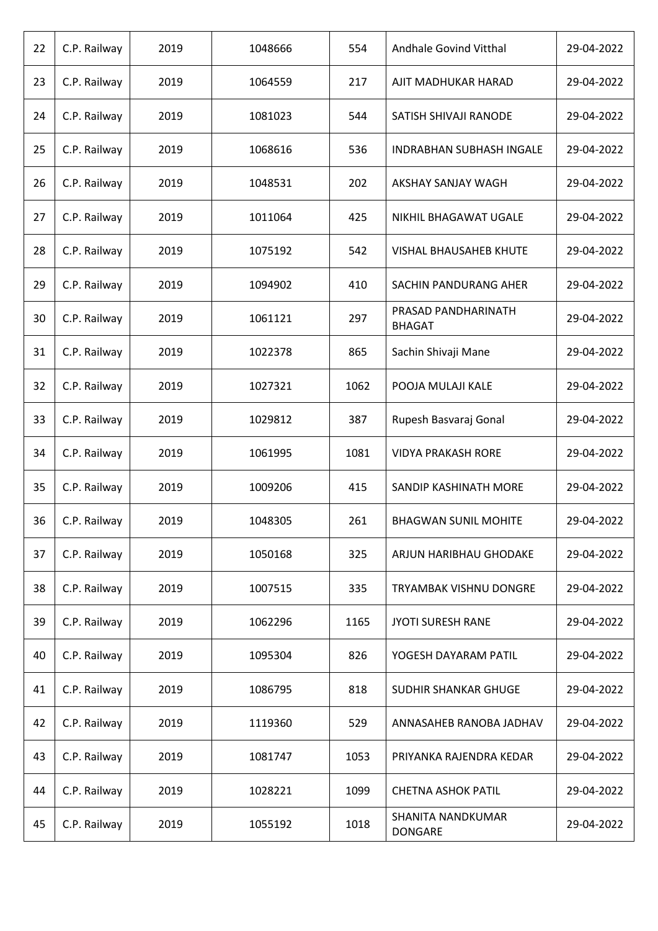| 22 | C.P. Railway | 2019 | 1048666 | 554  | Andhale Govind Vitthal               | 29-04-2022 |
|----|--------------|------|---------|------|--------------------------------------|------------|
| 23 | C.P. Railway | 2019 | 1064559 | 217  | AJIT MADHUKAR HARAD                  | 29-04-2022 |
| 24 | C.P. Railway | 2019 | 1081023 | 544  | SATISH SHIVAJI RANODE                | 29-04-2022 |
| 25 | C.P. Railway | 2019 | 1068616 | 536  | <b>INDRABHAN SUBHASH INGALE</b>      | 29-04-2022 |
| 26 | C.P. Railway | 2019 | 1048531 | 202  | AKSHAY SANJAY WAGH                   | 29-04-2022 |
| 27 | C.P. Railway | 2019 | 1011064 | 425  | NIKHIL BHAGAWAT UGALE                | 29-04-2022 |
| 28 | C.P. Railway | 2019 | 1075192 | 542  | <b>VISHAL BHAUSAHEB KHUTE</b>        | 29-04-2022 |
| 29 | C.P. Railway | 2019 | 1094902 | 410  | SACHIN PANDURANG AHER                | 29-04-2022 |
| 30 | C.P. Railway | 2019 | 1061121 | 297  | PRASAD PANDHARINATH<br><b>BHAGAT</b> | 29-04-2022 |
| 31 | C.P. Railway | 2019 | 1022378 | 865  | Sachin Shivaji Mane                  | 29-04-2022 |
| 32 | C.P. Railway | 2019 | 1027321 | 1062 | POOJA MULAJI KALE                    | 29-04-2022 |
| 33 | C.P. Railway | 2019 | 1029812 | 387  | Rupesh Basvaraj Gonal                | 29-04-2022 |
| 34 | C.P. Railway | 2019 | 1061995 | 1081 | <b>VIDYA PRAKASH RORE</b>            | 29-04-2022 |
| 35 | C.P. Railway | 2019 | 1009206 | 415  | SANDIP KASHINATH MORE                | 29-04-2022 |
| 36 | C.P. Railway | 2019 | 1048305 | 261  | <b>BHAGWAN SUNIL MOHITE</b>          | 29-04-2022 |
| 37 | C.P. Railway | 2019 | 1050168 | 325  | ARJUN HARIBHAU GHODAKE               | 29-04-2022 |
| 38 | C.P. Railway | 2019 | 1007515 | 335  | <b>TRYAMBAK VISHNU DONGRE</b>        | 29-04-2022 |
| 39 | C.P. Railway | 2019 | 1062296 | 1165 | <b>JYOTI SURESH RANE</b>             | 29-04-2022 |
| 40 | C.P. Railway | 2019 | 1095304 | 826  | YOGESH DAYARAM PATIL                 | 29-04-2022 |
| 41 | C.P. Railway | 2019 | 1086795 | 818  | <b>SUDHIR SHANKAR GHUGE</b>          | 29-04-2022 |
| 42 | C.P. Railway | 2019 | 1119360 | 529  | ANNASAHEB RANOBA JADHAV              | 29-04-2022 |
| 43 | C.P. Railway | 2019 | 1081747 | 1053 | PRIYANKA RAJENDRA KEDAR              | 29-04-2022 |
| 44 | C.P. Railway | 2019 | 1028221 | 1099 | <b>CHETNA ASHOK PATIL</b>            | 29-04-2022 |
| 45 | C.P. Railway | 2019 | 1055192 | 1018 | SHANITA NANDKUMAR<br><b>DONGARE</b>  | 29-04-2022 |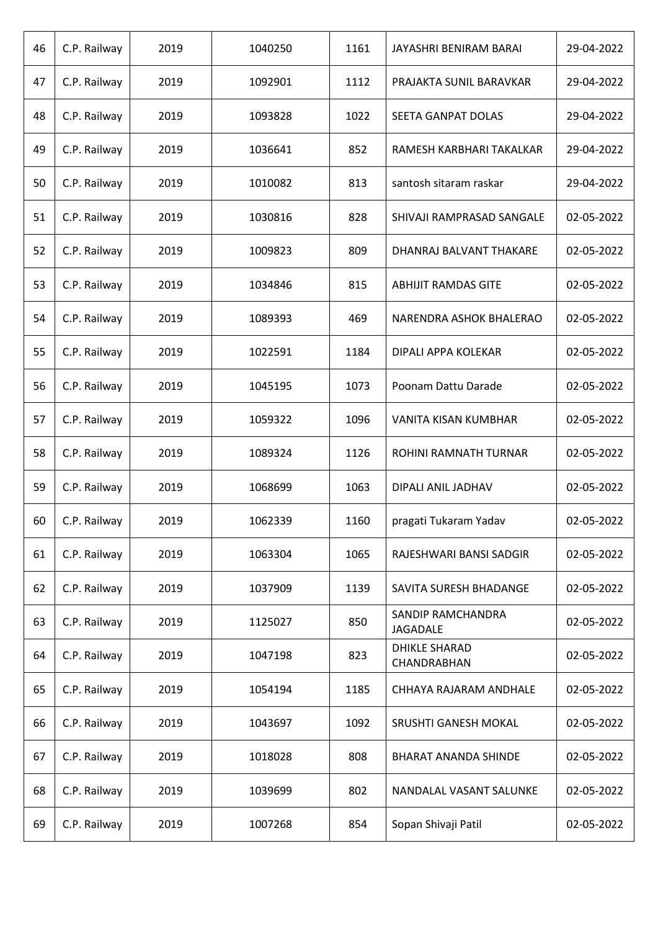| 46 | C.P. Railway | 2019 | 1040250 | 1161 | JAYASHRI BENIRAM BARAI                     | 29-04-2022 |
|----|--------------|------|---------|------|--------------------------------------------|------------|
| 47 | C.P. Railway | 2019 | 1092901 | 1112 | PRAJAKTA SUNIL BARAVKAR                    | 29-04-2022 |
| 48 | C.P. Railway | 2019 | 1093828 | 1022 | SEETA GANPAT DOLAS                         | 29-04-2022 |
| 49 | C.P. Railway | 2019 | 1036641 | 852  | RAMESH KARBHARI TAKALKAR                   | 29-04-2022 |
| 50 | C.P. Railway | 2019 | 1010082 | 813  | santosh sitaram raskar                     | 29-04-2022 |
| 51 | C.P. Railway | 2019 | 1030816 | 828  | SHIVAJI RAMPRASAD SANGALE                  | 02-05-2022 |
| 52 | C.P. Railway | 2019 | 1009823 | 809  | DHANRAJ BALVANT THAKARE                    | 02-05-2022 |
| 53 | C.P. Railway | 2019 | 1034846 | 815  | <b>ABHIJIT RAMDAS GITE</b>                 | 02-05-2022 |
| 54 | C.P. Railway | 2019 | 1089393 | 469  | NARENDRA ASHOK BHALERAO                    | 02-05-2022 |
| 55 | C.P. Railway | 2019 | 1022591 | 1184 | DIPALI APPA KOLEKAR                        | 02-05-2022 |
| 56 | C.P. Railway | 2019 | 1045195 | 1073 | Poonam Dattu Darade                        | 02-05-2022 |
| 57 | C.P. Railway | 2019 | 1059322 | 1096 | VANITA KISAN KUMBHAR                       | 02-05-2022 |
| 58 | C.P. Railway | 2019 | 1089324 | 1126 | ROHINI RAMNATH TURNAR                      | 02-05-2022 |
| 59 | C.P. Railway | 2019 | 1068699 | 1063 | DIPALI ANIL JADHAV                         | 02-05-2022 |
| 60 | C.P. Railway | 2019 | 1062339 | 1160 | pragati Tukaram Yadav                      | 02-05-2022 |
| 61 | C.P. Railway | 2019 | 1063304 | 1065 | RAJESHWARI BANSI SADGIR                    | 02-05-2022 |
| 62 | C.P. Railway | 2019 | 1037909 | 1139 | SAVITA SURESH BHADANGE                     | 02-05-2022 |
| 63 | C.P. Railway | 2019 | 1125027 | 850  | SANDIP RAMCHANDRA<br><b>JAGADALE</b>       | 02-05-2022 |
| 64 | C.P. Railway | 2019 | 1047198 | 823  | <b>DHIKLE SHARAD</b><br><b>CHANDRABHAN</b> | 02-05-2022 |
| 65 | C.P. Railway | 2019 | 1054194 | 1185 | CHHAYA RAJARAM ANDHALE                     | 02-05-2022 |
| 66 | C.P. Railway | 2019 | 1043697 | 1092 | SRUSHTI GANESH MOKAL                       | 02-05-2022 |
| 67 | C.P. Railway | 2019 | 1018028 | 808  | <b>BHARAT ANANDA SHINDE</b>                | 02-05-2022 |
| 68 | C.P. Railway | 2019 | 1039699 | 802  | NANDALAL VASANT SALUNKE                    | 02-05-2022 |
| 69 | C.P. Railway | 2019 | 1007268 | 854  | Sopan Shivaji Patil                        | 02-05-2022 |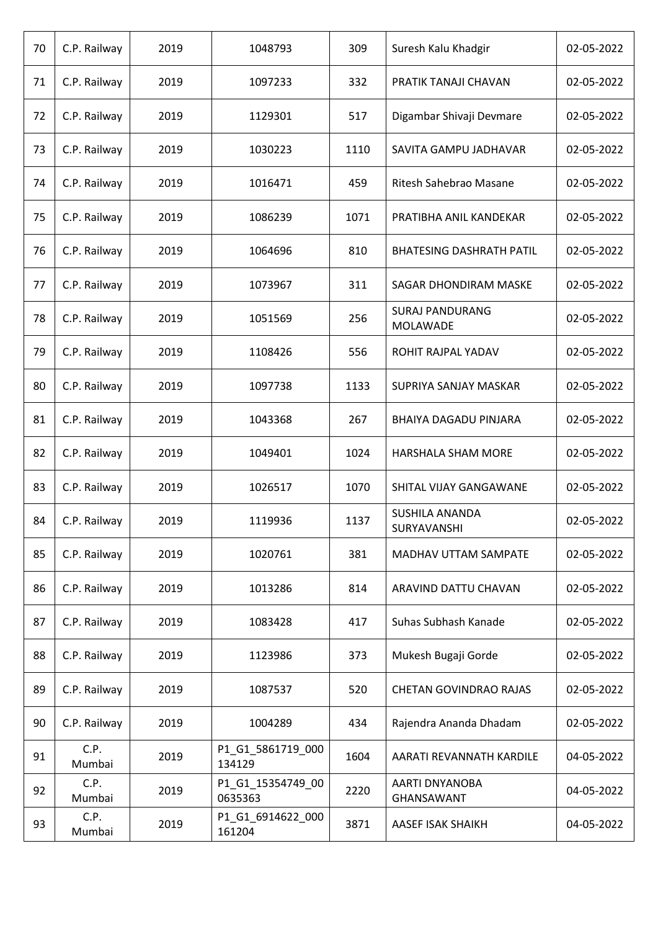| 70 | C.P. Railway   | 2019 | 1048793                      | 309  | Suresh Kalu Khadgir                       | 02-05-2022 |
|----|----------------|------|------------------------------|------|-------------------------------------------|------------|
| 71 | C.P. Railway   | 2019 | 1097233                      | 332  | PRATIK TANAJI CHAVAN                      | 02-05-2022 |
| 72 | C.P. Railway   | 2019 | 1129301                      | 517  | Digambar Shivaji Devmare                  | 02-05-2022 |
| 73 | C.P. Railway   | 2019 | 1030223                      | 1110 | SAVITA GAMPU JADHAVAR                     | 02-05-2022 |
| 74 | C.P. Railway   | 2019 | 1016471                      | 459  | Ritesh Sahebrao Masane                    | 02-05-2022 |
| 75 | C.P. Railway   | 2019 | 1086239                      | 1071 | PRATIBHA ANIL KANDEKAR                    | 02-05-2022 |
| 76 | C.P. Railway   | 2019 | 1064696                      | 810  | <b>BHATESING DASHRATH PATIL</b>           | 02-05-2022 |
| 77 | C.P. Railway   | 2019 | 1073967                      | 311  | <b>SAGAR DHONDIRAM MASKE</b>              | 02-05-2022 |
| 78 | C.P. Railway   | 2019 | 1051569                      | 256  | <b>SURAJ PANDURANG</b><br><b>MOLAWADE</b> | 02-05-2022 |
| 79 | C.P. Railway   | 2019 | 1108426                      | 556  | ROHIT RAJPAL YADAV                        | 02-05-2022 |
| 80 | C.P. Railway   | 2019 | 1097738                      | 1133 | SUPRIYA SANJAY MASKAR                     | 02-05-2022 |
| 81 | C.P. Railway   | 2019 | 1043368                      | 267  | BHAIYA DAGADU PINJARA                     | 02-05-2022 |
| 82 | C.P. Railway   | 2019 | 1049401                      | 1024 | HARSHALA SHAM MORE                        | 02-05-2022 |
| 83 | C.P. Railway   | 2019 | 1026517                      | 1070 | SHITAL VIJAY GANGAWANE                    | 02-05-2022 |
| 84 | C.P. Railway   | 2019 | 1119936                      | 1137 | <b>SUSHILA ANANDA</b><br>SURYAVANSHI      | 02-05-2022 |
| 85 | C.P. Railway   | 2019 | 1020761                      | 381  | MADHAV UTTAM SAMPATE                      | 02-05-2022 |
| 86 | C.P. Railway   | 2019 | 1013286                      | 814  | ARAVIND DATTU CHAVAN                      | 02-05-2022 |
| 87 | C.P. Railway   | 2019 | 1083428                      | 417  | Suhas Subhash Kanade                      | 02-05-2022 |
| 88 | C.P. Railway   | 2019 | 1123986                      | 373  | Mukesh Bugaji Gorde                       | 02-05-2022 |
| 89 | C.P. Railway   | 2019 | 1087537                      | 520  | <b>CHETAN GOVINDRAO RAJAS</b>             | 02-05-2022 |
| 90 | C.P. Railway   | 2019 | 1004289                      | 434  | Rajendra Ananda Dhadam                    | 02-05-2022 |
| 91 | C.P.<br>Mumbai | 2019 | P1 G1 5861719 000<br>134129  | 1604 | AARATI REVANNATH KARDILE                  | 04-05-2022 |
| 92 | C.P.<br>Mumbai | 2019 | P1_G1_15354749_00<br>0635363 | 2220 | AARTI DNYANOBA<br>GHANSAWANT              | 04-05-2022 |
| 93 | C.P.<br>Mumbai | 2019 | P1_G1_6914622_000<br>161204  | 3871 | AASEF ISAK SHAIKH                         | 04-05-2022 |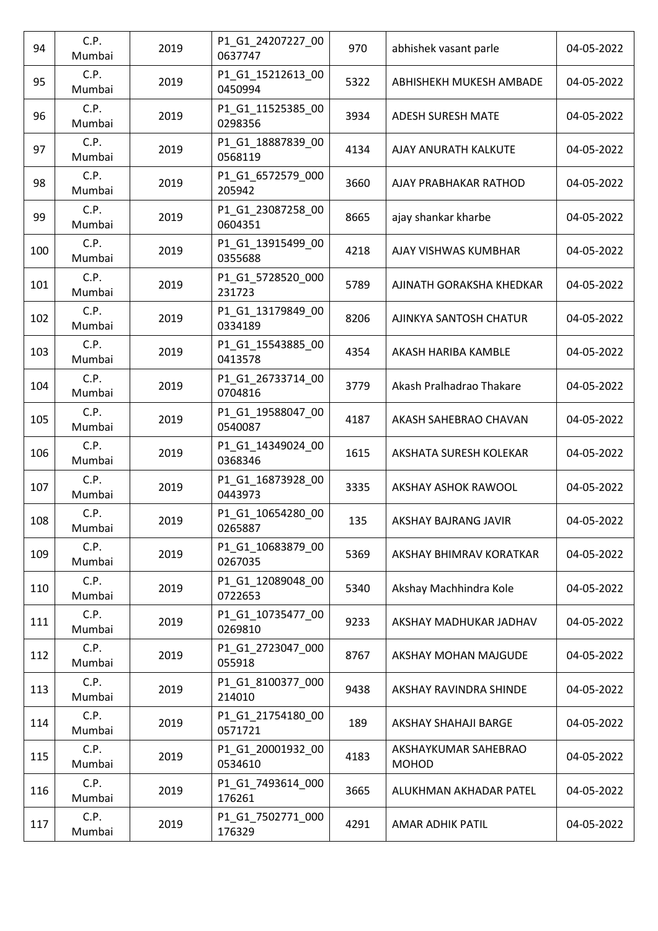| 94  | C.P.<br>Mumbai | 2019 | P1_G1_24207227_00<br>0637747 | 970  | abhishek vasant parle                | 04-05-2022 |
|-----|----------------|------|------------------------------|------|--------------------------------------|------------|
| 95  | C.P.<br>Mumbai | 2019 | P1_G1_15212613_00<br>0450994 | 5322 | ABHISHEKH MUKESH AMBADE              | 04-05-2022 |
| 96  | C.P.<br>Mumbai | 2019 | P1_G1_11525385_00<br>0298356 | 3934 | <b>ADESH SURESH MATE</b>             | 04-05-2022 |
| 97  | C.P.<br>Mumbai | 2019 | P1_G1_18887839_00<br>0568119 | 4134 | AJAY ANURATH KALKUTE                 | 04-05-2022 |
| 98  | C.P.<br>Mumbai | 2019 | P1_G1_6572579_000<br>205942  | 3660 | AJAY PRABHAKAR RATHOD                | 04-05-2022 |
| 99  | C.P.<br>Mumbai | 2019 | P1_G1_23087258_00<br>0604351 | 8665 | ajay shankar kharbe                  | 04-05-2022 |
| 100 | C.P.<br>Mumbai | 2019 | P1 G1 13915499 00<br>0355688 | 4218 | AJAY VISHWAS KUMBHAR                 | 04-05-2022 |
| 101 | C.P.<br>Mumbai | 2019 | P1_G1_5728520_000<br>231723  | 5789 | AJINATH GORAKSHA KHEDKAR             | 04-05-2022 |
| 102 | C.P.<br>Mumbai | 2019 | P1_G1_13179849_00<br>0334189 | 8206 | AJINKYA SANTOSH CHATUR               | 04-05-2022 |
| 103 | C.P.<br>Mumbai | 2019 | P1_G1_15543885_00<br>0413578 | 4354 | AKASH HARIBA KAMBLE                  | 04-05-2022 |
| 104 | C.P.<br>Mumbai | 2019 | P1_G1_26733714_00<br>0704816 | 3779 | Akash Pralhadrao Thakare             | 04-05-2022 |
| 105 | C.P.<br>Mumbai | 2019 | P1 G1 19588047 00<br>0540087 | 4187 | AKASH SAHEBRAO CHAVAN                | 04-05-2022 |
| 106 | C.P.<br>Mumbai | 2019 | P1_G1_14349024_00<br>0368346 | 1615 | AKSHATA SURESH KOLEKAR               | 04-05-2022 |
| 107 | C.P.<br>Mumbai | 2019 | P1_G1_16873928_00<br>0443973 | 3335 | AKSHAY ASHOK RAWOOL                  | 04-05-2022 |
| 108 | C.P.<br>Mumbai | 2019 | P1_G1_10654280_00<br>0265887 | 135  | AKSHAY BAJRANG JAVIR                 | 04-05-2022 |
| 109 | C.P.<br>Mumbai | 2019 | P1 G1 10683879 00<br>0267035 | 5369 | AKSHAY BHIMRAV KORATKAR              | 04-05-2022 |
| 110 | C.P.<br>Mumbai | 2019 | P1_G1_12089048_00<br>0722653 | 5340 | Akshay Machhindra Kole               | 04-05-2022 |
| 111 | C.P.<br>Mumbai | 2019 | P1_G1_10735477_00<br>0269810 | 9233 | AKSHAY MADHUKAR JADHAV               | 04-05-2022 |
| 112 | C.P.<br>Mumbai | 2019 | P1_G1_2723047_000<br>055918  | 8767 | AKSHAY MOHAN MAJGUDE                 | 04-05-2022 |
| 113 | C.P.<br>Mumbai | 2019 | P1_G1_8100377_000<br>214010  | 9438 | AKSHAY RAVINDRA SHINDE               | 04-05-2022 |
| 114 | C.P.<br>Mumbai | 2019 | P1_G1_21754180_00<br>0571721 | 189  | AKSHAY SHAHAJI BARGE                 | 04-05-2022 |
| 115 | C.P.<br>Mumbai | 2019 | P1_G1_20001932_00<br>0534610 | 4183 | AKSHAYKUMAR SAHEBRAO<br><b>MOHOD</b> | 04-05-2022 |
| 116 | C.P.<br>Mumbai | 2019 | P1_G1_7493614_000<br>176261  | 3665 | ALUKHMAN AKHADAR PATEL               | 04-05-2022 |
| 117 | C.P.<br>Mumbai | 2019 | P1 G1 7502771 000<br>176329  | 4291 | <b>AMAR ADHIK PATIL</b>              | 04-05-2022 |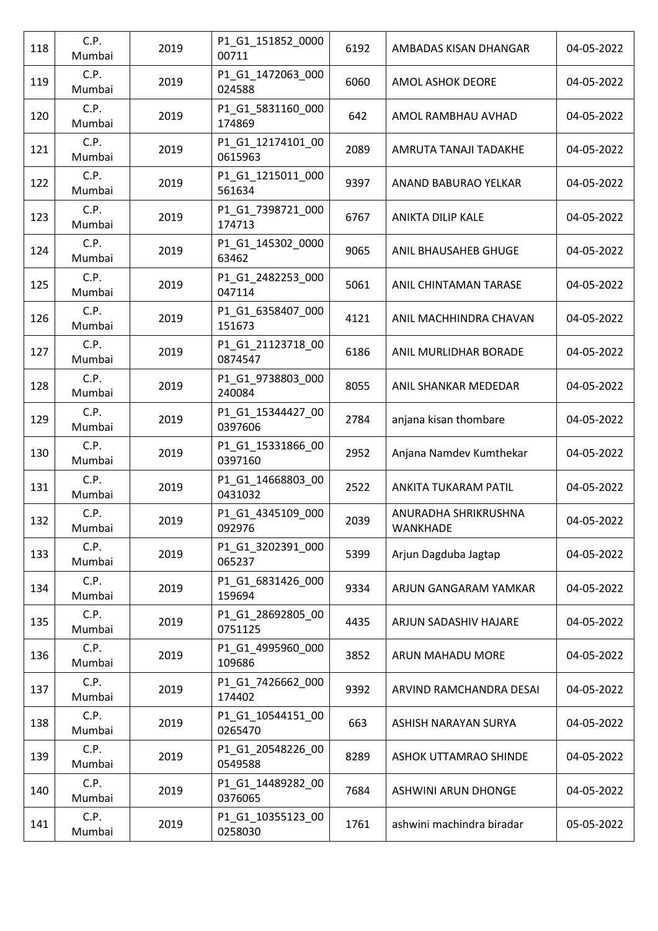| 118 | C.P.<br>Mumbai | 2019 | P1_G1_151852_0000<br>00711   | 6192 | AMBADAS KISAN DHANGAR            | 04-05-2022 |
|-----|----------------|------|------------------------------|------|----------------------------------|------------|
| 119 | C.P.<br>Mumbai | 2019 | P1_G1_1472063_000<br>024588  | 6060 | <b>AMOL ASHOK DEORE</b>          | 04-05-2022 |
| 120 | C.P.<br>Mumbai | 2019 | P1_G1_5831160_000<br>174869  | 642  | AMOL RAMBHAU AVHAD               | 04-05-2022 |
| 121 | C.P.<br>Mumbai | 2019 | P1_G1_12174101_00<br>0615963 | 2089 | AMRUTA TANAJI TADAKHE            | 04-05-2022 |
| 122 | C.P.<br>Mumbai | 2019 | P1 G1 1215011 000<br>561634  | 9397 | ANAND BABURAO YELKAR             | 04-05-2022 |
| 123 | C.P.<br>Mumbai | 2019 | P1_G1_7398721_000<br>174713  | 6767 | <b>ANIKTA DILIP KALE</b>         | 04-05-2022 |
| 124 | C.P.<br>Mumbai | 2019 | P1_G1_145302_0000<br>63462   | 9065 | ANIL BHAUSAHEB GHUGE             | 04-05-2022 |
| 125 | C.P.<br>Mumbai | 2019 | P1_G1_2482253_000<br>047114  | 5061 | ANIL CHINTAMAN TARASE            | 04-05-2022 |
| 126 | C.P.<br>Mumbai | 2019 | P1_G1_6358407_000<br>151673  | 4121 | ANIL MACHHINDRA CHAVAN           | 04-05-2022 |
| 127 | C.P.<br>Mumbai | 2019 | P1_G1_21123718_00<br>0874547 | 6186 | ANIL MURLIDHAR BORADE            | 04-05-2022 |
| 128 | C.P.<br>Mumbai | 2019 | P1_G1_9738803_000<br>240084  | 8055 | ANIL SHANKAR MEDEDAR             | 04-05-2022 |
| 129 | C.P.<br>Mumbai | 2019 | P1_G1_15344427_00<br>0397606 | 2784 | anjana kisan thombare            | 04-05-2022 |
| 130 | C.P.<br>Mumbai | 2019 | P1_G1_15331866_00<br>0397160 | 2952 | Anjana Namdev Kumthekar          | 04-05-2022 |
| 131 | C.P.<br>Mumbai | 2019 | P1_G1_14668803_00<br>0431032 | 2522 | ANKITA TUKARAM PATIL             | 04-05-2022 |
| 132 | C.P.<br>Mumbai | 2019 | P1_G1_4345109_000<br>092976  | 2039 | ANURADHA SHRIKRUSHNA<br>WANKHADE | 04-05-2022 |
| 133 | C.P.<br>Mumbai | 2019 | P1_G1_3202391_000<br>065237  | 5399 | Arjun Dagduba Jagtap             | 04-05-2022 |
| 134 | C.P.<br>Mumbai | 2019 | P1 G1 6831426 000<br>159694  | 9334 | ARJUN GANGARAM YAMKAR            | 04-05-2022 |
| 135 | C.P.<br>Mumbai | 2019 | P1_G1_28692805_00<br>0751125 | 4435 | ARJUN SADASHIV HAJARE            | 04-05-2022 |
| 136 | C.P.<br>Mumbai | 2019 | P1 G1 4995960 000<br>109686  | 3852 | <b>ARUN MAHADU MORE</b>          | 04-05-2022 |
| 137 | C.P.<br>Mumbai | 2019 | P1_G1_7426662_000<br>174402  | 9392 | ARVIND RAMCHANDRA DESAI          | 04-05-2022 |
| 138 | C.P.<br>Mumbai | 2019 | P1_G1_10544151_00<br>0265470 | 663  | ASHISH NARAYAN SURYA             | 04-05-2022 |
| 139 | C.P.<br>Mumbai | 2019 | P1_G1_20548226_00<br>0549588 | 8289 | ASHOK UTTAMRAO SHINDE            | 04-05-2022 |
| 140 | C.P.<br>Mumbai | 2019 | P1_G1_14489282_00<br>0376065 | 7684 | ASHWINI ARUN DHONGE              | 04-05-2022 |
| 141 | C.P.<br>Mumbai | 2019 | P1_G1_10355123_00<br>0258030 | 1761 | ashwini machindra biradar        | 05-05-2022 |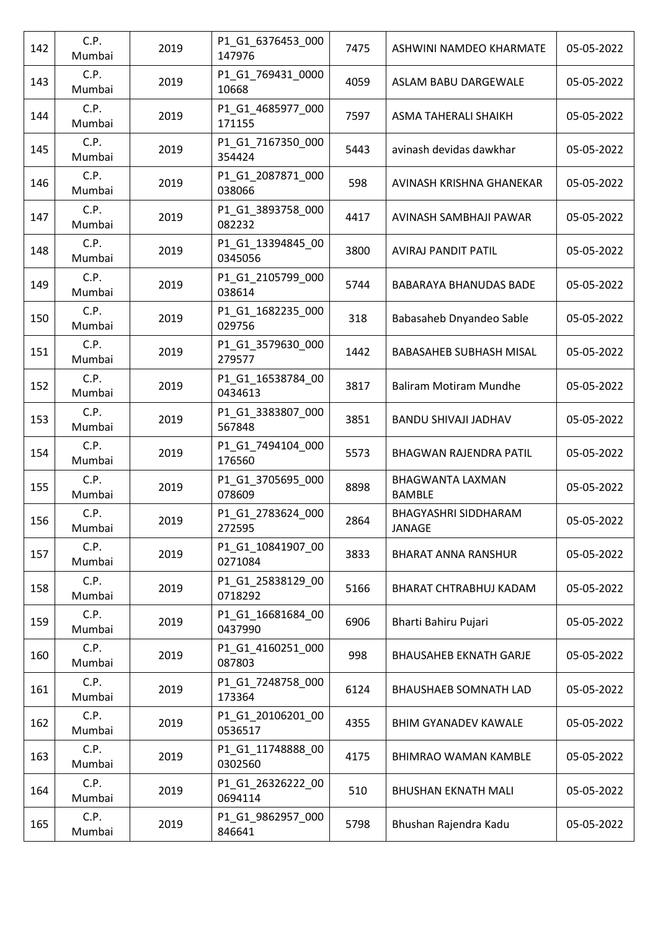| 142 | C.P.<br>Mumbai | 2019 | P1_G1_6376453_000<br>147976  | 7475 | ASHWINI NAMDEO KHARMATE                  | 05-05-2022 |
|-----|----------------|------|------------------------------|------|------------------------------------------|------------|
| 143 | C.P.<br>Mumbai | 2019 | P1_G1_769431_0000<br>10668   | 4059 | ASLAM BABU DARGEWALE                     | 05-05-2022 |
| 144 | C.P.<br>Mumbai | 2019 | P1_G1_4685977_000<br>171155  | 7597 | ASMA TAHERALI SHAIKH                     | 05-05-2022 |
| 145 | C.P.<br>Mumbai | 2019 | P1_G1_7167350_000<br>354424  | 5443 | avinash devidas dawkhar                  | 05-05-2022 |
| 146 | C.P.<br>Mumbai | 2019 | P1_G1_2087871_000<br>038066  | 598  | AVINASH KRISHNA GHANEKAR                 | 05-05-2022 |
| 147 | C.P.<br>Mumbai | 2019 | P1_G1_3893758_000<br>082232  | 4417 | AVINASH SAMBHAJI PAWAR                   | 05-05-2022 |
| 148 | C.P.<br>Mumbai | 2019 | P1_G1_13394845_00<br>0345056 | 3800 | AVIRAJ PANDIT PATIL                      | 05-05-2022 |
| 149 | C.P.<br>Mumbai | 2019 | P1_G1_2105799_000<br>038614  | 5744 | <b>BABARAYA BHANUDAS BADE</b>            | 05-05-2022 |
| 150 | C.P.<br>Mumbai | 2019 | P1_G1_1682235_000<br>029756  | 318  | Babasaheb Dnyandeo Sable                 | 05-05-2022 |
| 151 | C.P.<br>Mumbai | 2019 | P1_G1_3579630_000<br>279577  | 1442 | BABASAHEB SUBHASH MISAL                  | 05-05-2022 |
| 152 | C.P.<br>Mumbai | 2019 | P1_G1_16538784_00<br>0434613 | 3817 | <b>Baliram Motiram Mundhe</b>            | 05-05-2022 |
| 153 | C.P.<br>Mumbai | 2019 | P1_G1_3383807_000<br>567848  | 3851 | BANDU SHIVAJI JADHAV                     | 05-05-2022 |
| 154 | C.P.<br>Mumbai | 2019 | P1_G1_7494104_000<br>176560  | 5573 | <b>BHAGWAN RAJENDRA PATIL</b>            | 05-05-2022 |
| 155 | C.P.<br>Mumbai | 2019 | P1_G1_3705695_000<br>078609  | 8898 | <b>BHAGWANTA LAXMAN</b><br><b>BAMBLE</b> | 05-05-2022 |
| 156 | C.P.<br>Mumbai | 2019 | P1_G1_2783624_000<br>272595  | 2864 | <b>BHAGYASHRI SIDDHARAM</b><br>JANAGE    | 05-05-2022 |
| 157 | C.P.<br>Mumbai | 2019 | P1_G1_10841907_00<br>0271084 | 3833 | <b>BHARAT ANNA RANSHUR</b>               | 05-05-2022 |
| 158 | C.P.<br>Mumbai | 2019 | P1_G1_25838129_00<br>0718292 | 5166 | BHARAT CHTRABHUJ KADAM                   | 05-05-2022 |
| 159 | C.P.<br>Mumbai | 2019 | P1_G1_16681684_00<br>0437990 | 6906 | Bharti Bahiru Pujari                     | 05-05-2022 |
| 160 | C.P.<br>Mumbai | 2019 | P1_G1_4160251_000<br>087803  | 998  | <b>BHAUSAHEB EKNATH GARJE</b>            | 05-05-2022 |
| 161 | C.P.<br>Mumbai | 2019 | P1_G1_7248758_000<br>173364  | 6124 | <b>BHAUSHAEB SOMNATH LAD</b>             | 05-05-2022 |
| 162 | C.P.<br>Mumbai | 2019 | P1_G1_20106201_00<br>0536517 | 4355 | <b>BHIM GYANADEV KAWALE</b>              | 05-05-2022 |
| 163 | C.P.<br>Mumbai | 2019 | P1_G1_11748888_00<br>0302560 | 4175 | <b>BHIMRAO WAMAN KAMBLE</b>              | 05-05-2022 |
| 164 | C.P.<br>Mumbai | 2019 | P1_G1_26326222_00<br>0694114 | 510  | <b>BHUSHAN EKNATH MALI</b>               | 05-05-2022 |
| 165 | C.P.<br>Mumbai | 2019 | P1_G1_9862957_000<br>846641  | 5798 | Bhushan Rajendra Kadu                    | 05-05-2022 |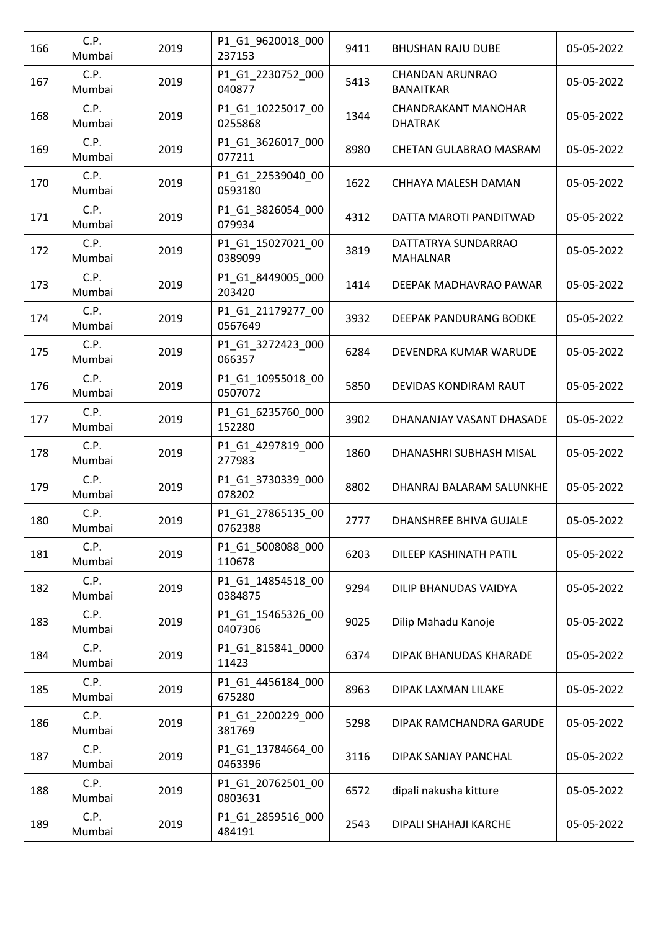| 166 | C.P.<br>Mumbai | 2019 | P1_G1_9620018_000<br>237153  | 9411 | <b>BHUSHAN RAJU DUBE</b>                     | 05-05-2022 |
|-----|----------------|------|------------------------------|------|----------------------------------------------|------------|
| 167 | C.P.<br>Mumbai | 2019 | P1_G1_2230752_000<br>040877  | 5413 | <b>CHANDAN ARUNRAO</b><br><b>BANAITKAR</b>   | 05-05-2022 |
| 168 | C.P.<br>Mumbai | 2019 | P1 G1 10225017 00<br>0255868 | 1344 | <b>CHANDRAKANT MANOHAR</b><br><b>DHATRAK</b> | 05-05-2022 |
| 169 | C.P.<br>Mumbai | 2019 | P1_G1_3626017_000<br>077211  | 8980 | <b>CHETAN GULABRAO MASRAM</b>                | 05-05-2022 |
| 170 | C.P.<br>Mumbai | 2019 | P1_G1_22539040_00<br>0593180 | 1622 | CHHAYA MALESH DAMAN                          | 05-05-2022 |
| 171 | C.P.<br>Mumbai | 2019 | P1_G1_3826054_000<br>079934  | 4312 | DATTA MAROTI PANDITWAD                       | 05-05-2022 |
| 172 | C.P.<br>Mumbai | 2019 | P1_G1_15027021_00<br>0389099 | 3819 | DATTATRYA SUNDARRAO<br><b>MAHALNAR</b>       | 05-05-2022 |
| 173 | C.P.<br>Mumbai | 2019 | P1_G1_8449005_000<br>203420  | 1414 | DEEPAK MADHAVRAO PAWAR                       | 05-05-2022 |
| 174 | C.P.<br>Mumbai | 2019 | P1_G1_21179277_00<br>0567649 | 3932 | DEEPAK PANDURANG BODKE                       | 05-05-2022 |
| 175 | C.P.<br>Mumbai | 2019 | P1_G1_3272423_000<br>066357  | 6284 | DEVENDRA KUMAR WARUDE                        | 05-05-2022 |
| 176 | C.P.<br>Mumbai | 2019 | P1_G1_10955018_00<br>0507072 | 5850 | DEVIDAS KONDIRAM RAUT                        | 05-05-2022 |
| 177 | C.P.<br>Mumbai | 2019 | P1_G1_6235760_000<br>152280  | 3902 | DHANANJAY VASANT DHASADE                     | 05-05-2022 |
| 178 | C.P.<br>Mumbai | 2019 | P1_G1_4297819_000<br>277983  | 1860 | DHANASHRI SUBHASH MISAL                      | 05-05-2022 |
| 179 | C.P.<br>Mumbai | 2019 | P1_G1_3730339_000<br>078202  | 8802 | DHANRAJ BALARAM SALUNKHE                     | 05-05-2022 |
| 180 | C.P.<br>Mumbai | 2019 | P1_G1_27865135_00<br>0762388 | 2777 | DHANSHREE BHIVA GUJALE                       | 05-05-2022 |
| 181 | C.P.<br>Mumbai | 2019 | P1_G1_5008088_000<br>110678  | 6203 | DILEEP KASHINATH PATIL                       | 05-05-2022 |
| 182 | C.P.<br>Mumbai | 2019 | P1_G1_14854518_00<br>0384875 | 9294 | DILIP BHANUDAS VAIDYA                        | 05-05-2022 |
| 183 | C.P.<br>Mumbai | 2019 | P1_G1_15465326_00<br>0407306 | 9025 | Dilip Mahadu Kanoje                          | 05-05-2022 |
| 184 | C.P.<br>Mumbai | 2019 | P1_G1_815841_0000<br>11423   | 6374 | DIPAK BHANUDAS KHARADE                       | 05-05-2022 |
| 185 | C.P.<br>Mumbai | 2019 | P1_G1_4456184_000<br>675280  | 8963 | DIPAK LAXMAN LILAKE                          | 05-05-2022 |
| 186 | C.P.<br>Mumbai | 2019 | P1_G1_2200229_000<br>381769  | 5298 | DIPAK RAMCHANDRA GARUDE                      | 05-05-2022 |
| 187 | C.P.<br>Mumbai | 2019 | P1_G1_13784664_00<br>0463396 | 3116 | DIPAK SANJAY PANCHAL                         | 05-05-2022 |
| 188 | C.P.<br>Mumbai | 2019 | P1_G1_20762501_00<br>0803631 | 6572 | dipali nakusha kitture                       | 05-05-2022 |
| 189 | C.P.<br>Mumbai | 2019 | P1_G1_2859516_000<br>484191  | 2543 | DIPALI SHAHAJI KARCHE                        | 05-05-2022 |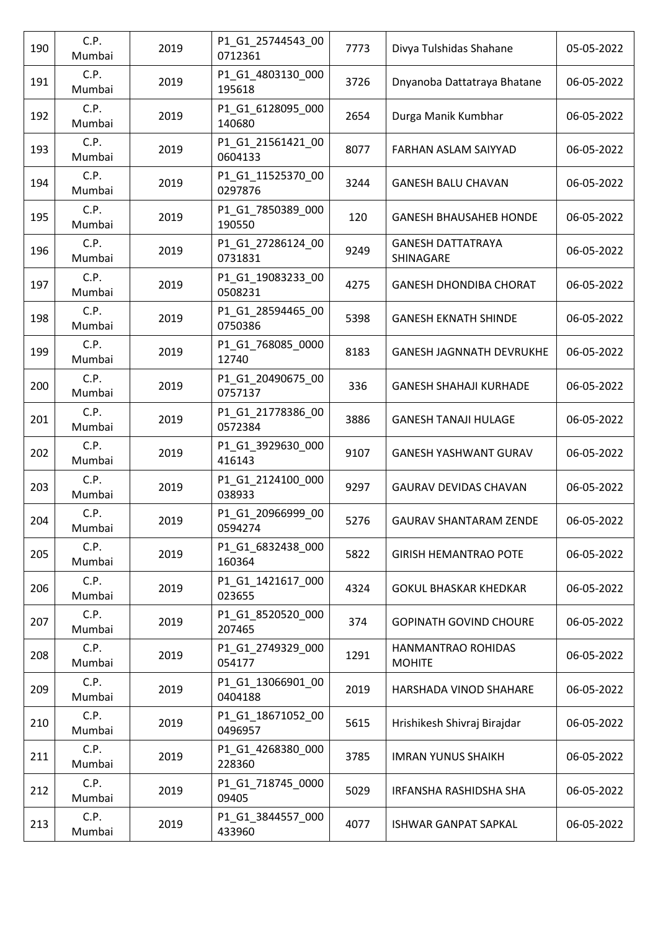| 190 | C.P.<br>Mumbai | 2019 | P1_G1_25744543_00<br>0712361 | 7773 | Divya Tulshidas Shahane               | 05-05-2022 |
|-----|----------------|------|------------------------------|------|---------------------------------------|------------|
| 191 | C.P.<br>Mumbai | 2019 | P1_G1_4803130_000<br>195618  | 3726 | Dnyanoba Dattatraya Bhatane           | 06-05-2022 |
| 192 | C.P.<br>Mumbai | 2019 | P1_G1_6128095_000<br>140680  | 2654 | Durga Manik Kumbhar                   | 06-05-2022 |
| 193 | C.P.<br>Mumbai | 2019 | P1_G1_21561421_00<br>0604133 | 8077 | FARHAN ASLAM SAIYYAD                  | 06-05-2022 |
| 194 | C.P.<br>Mumbai | 2019 | P1_G1_11525370_00<br>0297876 | 3244 | <b>GANESH BALU CHAVAN</b>             | 06-05-2022 |
| 195 | C.P.<br>Mumbai | 2019 | P1_G1_7850389_000<br>190550  | 120  | <b>GANESH BHAUSAHEB HONDE</b>         | 06-05-2022 |
| 196 | C.P.<br>Mumbai | 2019 | P1_G1_27286124_00<br>0731831 | 9249 | <b>GANESH DATTATRAYA</b><br>SHINAGARE | 06-05-2022 |
| 197 | C.P.<br>Mumbai | 2019 | P1_G1_19083233_00<br>0508231 | 4275 | <b>GANESH DHONDIBA CHORAT</b>         | 06-05-2022 |
| 198 | C.P.<br>Mumbai | 2019 | P1_G1_28594465_00<br>0750386 | 5398 | <b>GANESH EKNATH SHINDE</b>           | 06-05-2022 |
| 199 | C.P.<br>Mumbai | 2019 | P1 G1 768085 0000<br>12740   | 8183 | <b>GANESH JAGNNATH DEVRUKHE</b>       | 06-05-2022 |
| 200 | C.P.<br>Mumbai | 2019 | P1_G1_20490675_00<br>0757137 | 336  | <b>GANESH SHAHAJI KURHADE</b>         | 06-05-2022 |
| 201 | C.P.<br>Mumbai | 2019 | P1_G1_21778386_00<br>0572384 | 3886 | <b>GANESH TANAJI HULAGE</b>           | 06-05-2022 |
| 202 | C.P.<br>Mumbai | 2019 | P1_G1_3929630_000<br>416143  | 9107 | <b>GANESH YASHWANT GURAV</b>          | 06-05-2022 |
| 203 | C.P.<br>Mumbai | 2019 | P1_G1_2124100_000<br>038933  | 9297 | <b>GAURAV DEVIDAS CHAVAN</b>          | 06-05-2022 |
| 204 | C.P.<br>Mumbai | 2019 | P1_G1_20966999_00<br>0594274 | 5276 | <b>GAURAV SHANTARAM ZENDE</b>         | 06-05-2022 |
| 205 | C.P.<br>Mumbai | 2019 | P1_G1_6832438_000<br>160364  | 5822 | <b>GIRISH HEMANTRAO POTE</b>          | 06-05-2022 |
| 206 | C.P.<br>Mumbai | 2019 | P1 G1 1421617 000<br>023655  | 4324 | <b>GOKUL BHASKAR KHEDKAR</b>          | 06-05-2022 |
| 207 | C.P.<br>Mumbai | 2019 | P1_G1_8520520_000<br>207465  | 374  | <b>GOPINATH GOVIND CHOURE</b>         | 06-05-2022 |
| 208 | C.P.<br>Mumbai | 2019 | P1_G1_2749329_000<br>054177  | 1291 | HANMANTRAO ROHIDAS<br><b>MOHITE</b>   | 06-05-2022 |
| 209 | C.P.<br>Mumbai | 2019 | P1_G1_13066901_00<br>0404188 | 2019 | HARSHADA VINOD SHAHARE                | 06-05-2022 |
| 210 | C.P.<br>Mumbai | 2019 | P1_G1_18671052_00<br>0496957 | 5615 | Hrishikesh Shivraj Birajdar           | 06-05-2022 |
| 211 | C.P.<br>Mumbai | 2019 | P1_G1_4268380_000<br>228360  | 3785 | <b>IMRAN YUNUS SHAIKH</b>             | 06-05-2022 |
| 212 | C.P.<br>Mumbai | 2019 | P1_G1_718745_0000<br>09405   | 5029 | IRFANSHA RASHIDSHA SHA                | 06-05-2022 |
| 213 | C.P.<br>Mumbai | 2019 | P1_G1_3844557_000<br>433960  | 4077 | <b>ISHWAR GANPAT SAPKAL</b>           | 06-05-2022 |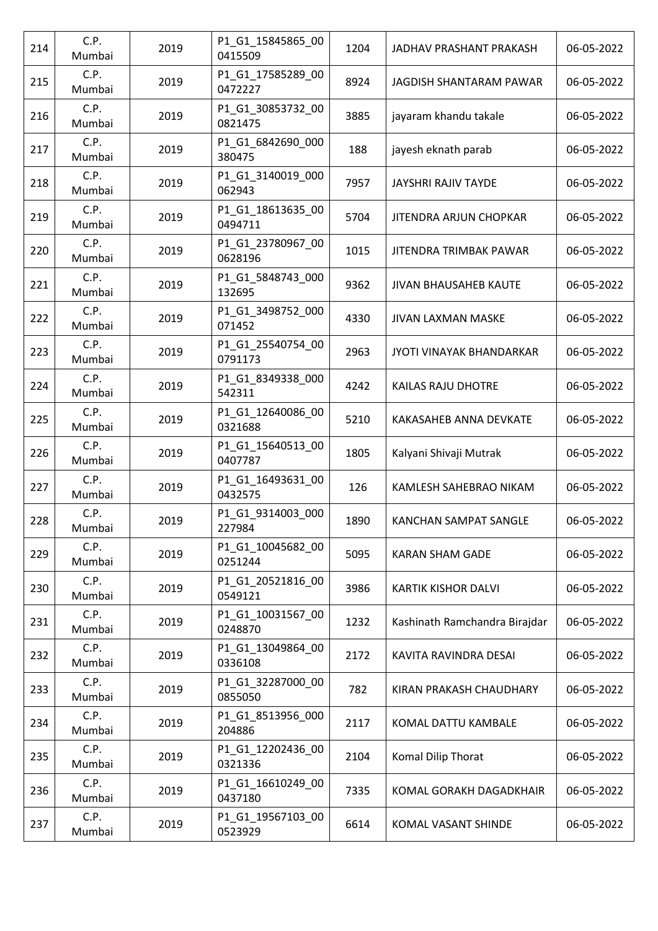| 214 | C.P.<br>Mumbai | 2019 | P1_G1_15845865_00<br>0415509 | 1204 | JADHAV PRASHANT PRAKASH         | 06-05-2022 |
|-----|----------------|------|------------------------------|------|---------------------------------|------------|
| 215 | C.P.<br>Mumbai | 2019 | P1_G1_17585289_00<br>0472227 | 8924 | JAGDISH SHANTARAM PAWAR         | 06-05-2022 |
| 216 | C.P.<br>Mumbai | 2019 | P1_G1_30853732_00<br>0821475 | 3885 | jayaram khandu takale           | 06-05-2022 |
| 217 | C.P.<br>Mumbai | 2019 | P1_G1_6842690_000<br>380475  | 188  | jayesh eknath parab             | 06-05-2022 |
| 218 | C.P.<br>Mumbai | 2019 | P1 G1 3140019 000<br>062943  | 7957 | JAYSHRI RAJIV TAYDE             | 06-05-2022 |
| 219 | C.P.<br>Mumbai | 2019 | P1_G1_18613635_00<br>0494711 | 5704 | JITENDRA ARJUN CHOPKAR          | 06-05-2022 |
| 220 | C.P.<br>Mumbai | 2019 | P1_G1_23780967_00<br>0628196 | 1015 | JITENDRA TRIMBAK PAWAR          | 06-05-2022 |
| 221 | C.P.<br>Mumbai | 2019 | P1_G1_5848743_000<br>132695  | 9362 | JIVAN BHAUSAHEB KAUTE           | 06-05-2022 |
| 222 | C.P.<br>Mumbai | 2019 | P1_G1_3498752_000<br>071452  | 4330 | <b>JIVAN LAXMAN MASKE</b>       | 06-05-2022 |
| 223 | C.P.<br>Mumbai | 2019 | P1_G1_25540754_00<br>0791173 | 2963 | <b>JYOTI VINAYAK BHANDARKAR</b> | 06-05-2022 |
| 224 | C.P.<br>Mumbai | 2019 | P1_G1_8349338_000<br>542311  | 4242 | KAILAS RAJU DHOTRE              | 06-05-2022 |
| 225 | C.P.<br>Mumbai | 2019 | P1_G1_12640086_00<br>0321688 | 5210 | KAKASAHEB ANNA DEVKATE          | 06-05-2022 |
| 226 | C.P.<br>Mumbai | 2019 | P1_G1_15640513_00<br>0407787 | 1805 | Kalyani Shivaji Mutrak          | 06-05-2022 |
| 227 | C.P.<br>Mumbai | 2019 | P1_G1_16493631_00<br>0432575 | 126  | KAMLESH SAHEBRAO NIKAM          | 06-05-2022 |
| 228 | C.P.<br>Mumbai | 2019 | P1_G1_9314003_000<br>227984  | 1890 | <b>KANCHAN SAMPAT SANGLE</b>    | 06-05-2022 |
| 229 | C.P.<br>Mumbai | 2019 | P1_G1_10045682_00<br>0251244 | 5095 | <b>KARAN SHAM GADE</b>          | 06-05-2022 |
| 230 | C.P.<br>Mumbai | 2019 | P1_G1_20521816_00<br>0549121 | 3986 | <b>KARTIK KISHOR DALVI</b>      | 06-05-2022 |
| 231 | C.P.<br>Mumbai | 2019 | P1_G1_10031567_00<br>0248870 | 1232 | Kashinath Ramchandra Birajdar   | 06-05-2022 |
| 232 | C.P.<br>Mumbai | 2019 | P1 G1 13049864 00<br>0336108 | 2172 | KAVITA RAVINDRA DESAI           | 06-05-2022 |
| 233 | C.P.<br>Mumbai | 2019 | P1_G1_32287000_00<br>0855050 | 782  | KIRAN PRAKASH CHAUDHARY         | 06-05-2022 |
| 234 | C.P.<br>Mumbai | 2019 | P1_G1_8513956_000<br>204886  | 2117 | KOMAL DATTU KAMBALE             | 06-05-2022 |
| 235 | C.P.<br>Mumbai | 2019 | P1_G1_12202436_00<br>0321336 | 2104 | Komal Dilip Thorat              | 06-05-2022 |
| 236 | C.P.<br>Mumbai | 2019 | P1_G1_16610249_00<br>0437180 | 7335 | KOMAL GORAKH DAGADKHAIR         | 06-05-2022 |
| 237 | C.P.<br>Mumbai | 2019 | P1_G1_19567103_00<br>0523929 | 6614 | KOMAL VASANT SHINDE             | 06-05-2022 |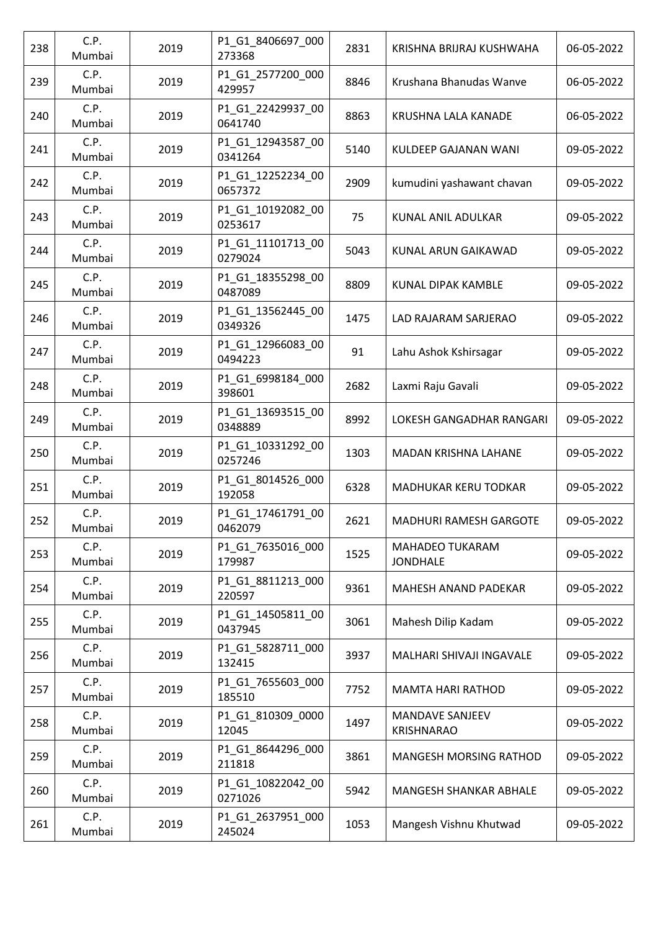| 238 | C.P.<br>Mumbai | 2019 | P1_G1_8406697_000<br>273368  | 2831 | KRISHNA BRIJRAJ KUSHWAHA                    | 06-05-2022 |
|-----|----------------|------|------------------------------|------|---------------------------------------------|------------|
| 239 | C.P.<br>Mumbai | 2019 | P1_G1_2577200_000<br>429957  | 8846 | Krushana Bhanudas Wanve                     | 06-05-2022 |
| 240 | C.P.<br>Mumbai | 2019 | P1_G1_22429937_00<br>0641740 | 8863 | KRUSHNA LALA KANADE                         | 06-05-2022 |
| 241 | C.P.<br>Mumbai | 2019 | P1_G1_12943587_00<br>0341264 | 5140 | KULDEEP GAJANAN WANI                        | 09-05-2022 |
| 242 | C.P.<br>Mumbai | 2019 | P1 G1 12252234 00<br>0657372 | 2909 | kumudini yashawant chavan                   | 09-05-2022 |
| 243 | C.P.<br>Mumbai | 2019 | P1_G1_10192082_00<br>0253617 | 75   | KUNAL ANIL ADULKAR                          | 09-05-2022 |
| 244 | C.P.<br>Mumbai | 2019 | P1_G1_11101713_00<br>0279024 | 5043 | KUNAL ARUN GAIKAWAD                         | 09-05-2022 |
| 245 | C.P.<br>Mumbai | 2019 | P1_G1_18355298_00<br>0487089 | 8809 | KUNAL DIPAK KAMBLE                          | 09-05-2022 |
| 246 | C.P.<br>Mumbai | 2019 | P1_G1_13562445_00<br>0349326 | 1475 | LAD RAJARAM SARJERAO                        | 09-05-2022 |
| 247 | C.P.<br>Mumbai | 2019 | P1_G1_12966083_00<br>0494223 | 91   | Lahu Ashok Kshirsagar                       | 09-05-2022 |
| 248 | C.P.<br>Mumbai | 2019 | P1_G1_6998184_000<br>398601  | 2682 | Laxmi Raju Gavali                           | 09-05-2022 |
| 249 | C.P.<br>Mumbai | 2019 | P1_G1_13693515_00<br>0348889 | 8992 | LOKESH GANGADHAR RANGARI                    | 09-05-2022 |
| 250 | C.P.<br>Mumbai | 2019 | P1_G1_10331292_00<br>0257246 | 1303 | <b>MADAN KRISHNA LAHANE</b>                 | 09-05-2022 |
| 251 | C.P.<br>Mumbai | 2019 | P1_G1_8014526_000<br>192058  | 6328 | <b>MADHUKAR KERU TODKAR</b>                 | 09-05-2022 |
| 252 | C.P.<br>Mumbai | 2019 | P1_G1_17461791_00<br>0462079 | 2621 | MADHURI RAMESH GARGOTE                      | 09-05-2022 |
| 253 | C.P.<br>Mumbai | 2019 | P1 G1 7635016 000<br>179987  | 1525 | <b>MAHADEO TUKARAM</b><br><b>JONDHALE</b>   | 09-05-2022 |
| 254 | C.P.<br>Mumbai | 2019 | P1 G1 8811213 000<br>220597  | 9361 | <b>MAHESH ANAND PADEKAR</b>                 | 09-05-2022 |
| 255 | C.P.<br>Mumbai | 2019 | P1 G1 14505811 00<br>0437945 | 3061 | Mahesh Dilip Kadam                          | 09-05-2022 |
| 256 | C.P.<br>Mumbai | 2019 | P1_G1_5828711_000<br>132415  | 3937 | MALHARI SHIVAJI INGAVALE                    | 09-05-2022 |
| 257 | C.P.<br>Mumbai | 2019 | P1 G1 7655603 000<br>185510  | 7752 | <b>MAMTA HARI RATHOD</b>                    | 09-05-2022 |
| 258 | C.P.<br>Mumbai | 2019 | P1_G1_810309_0000<br>12045   | 1497 | <b>MANDAVE SANJEEV</b><br><b>KRISHNARAO</b> | 09-05-2022 |
| 259 | C.P.<br>Mumbai | 2019 | P1_G1_8644296_000<br>211818  | 3861 | <b>MANGESH MORSING RATHOD</b>               | 09-05-2022 |
| 260 | C.P.<br>Mumbai | 2019 | P1_G1_10822042_00<br>0271026 | 5942 | <b>MANGESH SHANKAR ABHALE</b>               | 09-05-2022 |
| 261 | C.P.<br>Mumbai | 2019 | P1 G1 2637951 000<br>245024  | 1053 | Mangesh Vishnu Khutwad                      | 09-05-2022 |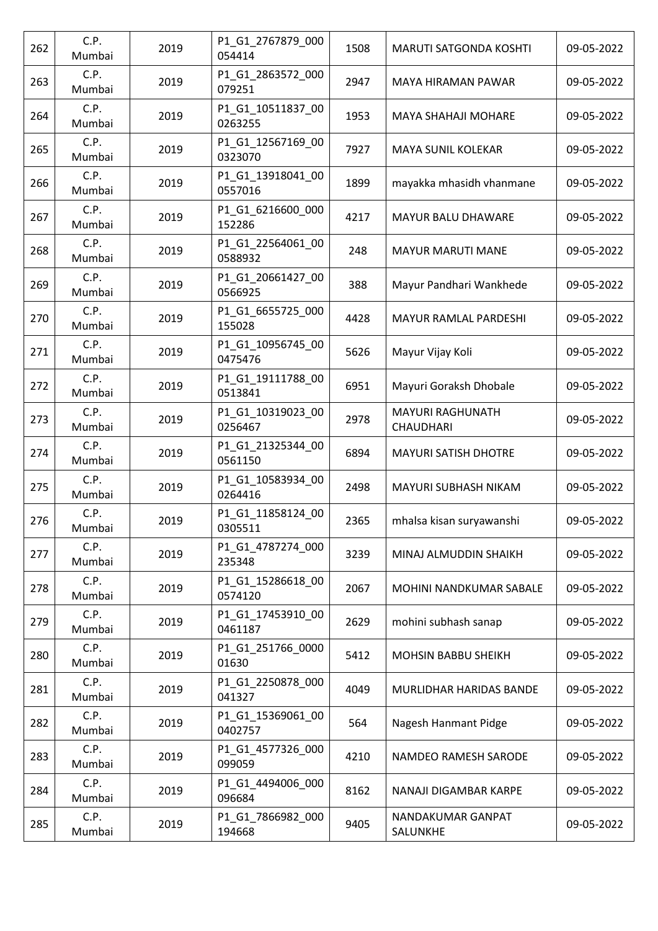| 262 | C.P.<br>Mumbai | 2019 | P1_G1_2767879_000<br>054414  | 1508 | MARUTI SATGONDA KOSHTI                      | 09-05-2022 |
|-----|----------------|------|------------------------------|------|---------------------------------------------|------------|
| 263 | C.P.<br>Mumbai | 2019 | P1_G1_2863572_000<br>079251  | 2947 | MAYA HIRAMAN PAWAR                          | 09-05-2022 |
| 264 | C.P.<br>Mumbai | 2019 | P1_G1_10511837_00<br>0263255 | 1953 | <b>MAYA SHAHAJI MOHARE</b>                  | 09-05-2022 |
| 265 | C.P.<br>Mumbai | 2019 | P1_G1_12567169_00<br>0323070 | 7927 | <b>MAYA SUNIL KOLEKAR</b>                   | 09-05-2022 |
| 266 | C.P.<br>Mumbai | 2019 | P1 G1 13918041 00<br>0557016 | 1899 | mayakka mhasidh vhanmane                    | 09-05-2022 |
| 267 | C.P.<br>Mumbai | 2019 | P1_G1_6216600_000<br>152286  | 4217 | MAYUR BALU DHAWARE                          | 09-05-2022 |
| 268 | C.P.<br>Mumbai | 2019 | P1_G1_22564061_00<br>0588932 | 248  | <b>MAYUR MARUTI MANE</b>                    | 09-05-2022 |
| 269 | C.P.<br>Mumbai | 2019 | P1_G1_20661427_00<br>0566925 | 388  | Mayur Pandhari Wankhede                     | 09-05-2022 |
| 270 | C.P.<br>Mumbai | 2019 | P1_G1_6655725_000<br>155028  | 4428 | <b>MAYUR RAMLAL PARDESHI</b>                | 09-05-2022 |
| 271 | C.P.<br>Mumbai | 2019 | P1_G1_10956745_00<br>0475476 | 5626 | Mayur Vijay Koli                            | 09-05-2022 |
| 272 | C.P.<br>Mumbai | 2019 | P1_G1_19111788_00<br>0513841 | 6951 | Mayuri Goraksh Dhobale                      | 09-05-2022 |
| 273 | C.P.<br>Mumbai | 2019 | P1 G1 10319023 00<br>0256467 | 2978 | <b>MAYURI RAGHUNATH</b><br><b>CHAUDHARI</b> | 09-05-2022 |
| 274 | C.P.<br>Mumbai | 2019 | P1_G1_21325344_00<br>0561150 | 6894 | <b>MAYURI SATISH DHOTRE</b>                 | 09-05-2022 |
| 275 | C.P.<br>Mumbai | 2019 | P1_G1_10583934_00<br>0264416 | 2498 | <b>MAYURI SUBHASH NIKAM</b>                 | 09-05-2022 |
| 276 | C.P.<br>Mumbai | 2019 | P1_G1_11858124_00<br>0305511 | 2365 | mhalsa kisan suryawanshi                    | 09-05-2022 |
| 277 | C.P.<br>Mumbai | 2019 | P1_G1_4787274_000<br>235348  | 3239 | MINAJ ALMUDDIN SHAIKH                       | 09-05-2022 |
| 278 | C.P.<br>Mumbai | 2019 | P1 G1 15286618 00<br>0574120 | 2067 | MOHINI NANDKUMAR SABALE                     | 09-05-2022 |
| 279 | C.P.<br>Mumbai | 2019 | P1_G1_17453910_00<br>0461187 | 2629 | mohini subhash sanap                        | 09-05-2022 |
| 280 | C.P.<br>Mumbai | 2019 | P1 G1 251766 0000<br>01630   | 5412 | <b>MOHSIN BABBU SHEIKH</b>                  | 09-05-2022 |
| 281 | C.P.<br>Mumbai | 2019 | P1 G1 2250878 000<br>041327  | 4049 | MURLIDHAR HARIDAS BANDE                     | 09-05-2022 |
| 282 | C.P.<br>Mumbai | 2019 | P1_G1_15369061_00<br>0402757 | 564  | Nagesh Hanmant Pidge                        | 09-05-2022 |
| 283 | C.P.<br>Mumbai | 2019 | P1_G1_4577326_000<br>099059  | 4210 | NAMDEO RAMESH SARODE                        | 09-05-2022 |
| 284 | C.P.<br>Mumbai | 2019 | P1_G1_4494006_000<br>096684  | 8162 | NANAJI DIGAMBAR KARPE                       | 09-05-2022 |
| 285 | C.P.<br>Mumbai | 2019 | P1 G1 7866982 000<br>194668  | 9405 | NANDAKUMAR GANPAT<br>SALUNKHE               | 09-05-2022 |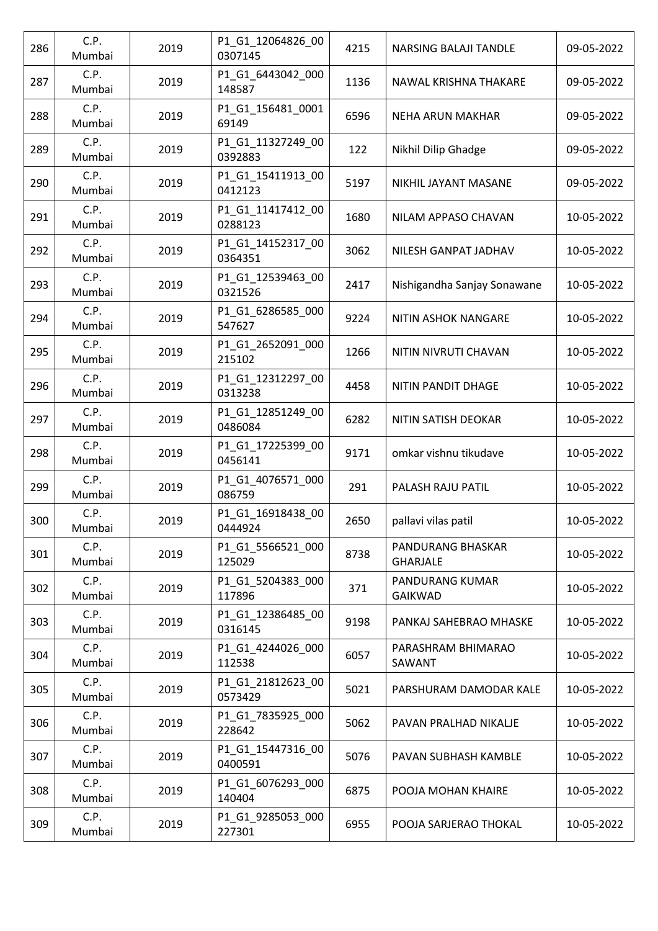| 286 | C.P.<br>Mumbai | 2019 | P1_G1_12064826_00<br>0307145 | 4215 | NARSING BALAJI TANDLE                | 09-05-2022 |
|-----|----------------|------|------------------------------|------|--------------------------------------|------------|
| 287 | C.P.<br>Mumbai | 2019 | P1_G1_6443042_000<br>148587  | 1136 | NAWAL KRISHNA THAKARE                | 09-05-2022 |
| 288 | C.P.<br>Mumbai | 2019 | P1_G1_156481_0001<br>69149   | 6596 | <b>NEHA ARUN MAKHAR</b>              | 09-05-2022 |
| 289 | C.P.<br>Mumbai | 2019 | P1_G1_11327249_00<br>0392883 | 122  | Nikhil Dilip Ghadge                  | 09-05-2022 |
| 290 | C.P.<br>Mumbai | 2019 | P1_G1_15411913_00<br>0412123 | 5197 | NIKHIL JAYANT MASANE                 | 09-05-2022 |
| 291 | C.P.<br>Mumbai | 2019 | P1_G1_11417412_00<br>0288123 | 1680 | NILAM APPASO CHAVAN                  | 10-05-2022 |
| 292 | C.P.<br>Mumbai | 2019 | P1_G1_14152317_00<br>0364351 | 3062 | NILESH GANPAT JADHAV                 | 10-05-2022 |
| 293 | C.P.<br>Mumbai | 2019 | P1_G1_12539463_00<br>0321526 | 2417 | Nishigandha Sanjay Sonawane          | 10-05-2022 |
| 294 | C.P.<br>Mumbai | 2019 | P1_G1_6286585_000<br>547627  | 9224 | NITIN ASHOK NANGARE                  | 10-05-2022 |
| 295 | C.P.<br>Mumbai | 2019 | P1_G1_2652091_000<br>215102  | 1266 | NITIN NIVRUTI CHAVAN                 | 10-05-2022 |
| 296 | C.P.<br>Mumbai | 2019 | P1_G1_12312297_00<br>0313238 | 4458 | NITIN PANDIT DHAGE                   | 10-05-2022 |
| 297 | C.P.<br>Mumbai | 2019 | P1_G1_12851249_00<br>0486084 | 6282 | NITIN SATISH DEOKAR                  | 10-05-2022 |
| 298 | C.P.<br>Mumbai | 2019 | P1_G1_17225399_00<br>0456141 | 9171 | omkar vishnu tikudave                | 10-05-2022 |
| 299 | C.P.<br>Mumbai | 2019 | P1_G1_4076571_000<br>086759  | 291  | PALASH RAJU PATIL                    | 10-05-2022 |
| 300 | C.P.<br>Mumbai | 2019 | P1_G1_16918438_00<br>0444924 | 2650 | pallavi vilas patil                  | 10-05-2022 |
| 301 | C.P.<br>Mumbai | 2019 | P1 G1 5566521 000<br>125029  | 8738 | PANDURANG BHASKAR<br><b>GHARJALE</b> | 10-05-2022 |
| 302 | C.P.<br>Mumbai | 2019 | P1_G1_5204383_000<br>117896  | 371  | PANDURANG KUMAR<br><b>GAIKWAD</b>    | 10-05-2022 |
| 303 | C.P.<br>Mumbai | 2019 | P1_G1_12386485_00<br>0316145 | 9198 | PANKAJ SAHEBRAO MHASKE               | 10-05-2022 |
| 304 | C.P.<br>Mumbai | 2019 | P1_G1_4244026_000<br>112538  | 6057 | PARASHRAM BHIMARAO<br>SAWANT         | 10-05-2022 |
| 305 | C.P.<br>Mumbai | 2019 | P1_G1_21812623_00<br>0573429 | 5021 | PARSHURAM DAMODAR KALE               | 10-05-2022 |
| 306 | C.P.<br>Mumbai | 2019 | P1_G1_7835925_000<br>228642  | 5062 | PAVAN PRALHAD NIKALJE                | 10-05-2022 |
| 307 | C.P.<br>Mumbai | 2019 | P1_G1_15447316_00<br>0400591 | 5076 | PAVAN SUBHASH KAMBLE                 | 10-05-2022 |
| 308 | C.P.<br>Mumbai | 2019 | P1_G1_6076293_000<br>140404  | 6875 | POOJA MOHAN KHAIRE                   | 10-05-2022 |
| 309 | C.P.<br>Mumbai | 2019 | P1_G1_9285053_000<br>227301  | 6955 | POOJA SARJERAO THOKAL                | 10-05-2022 |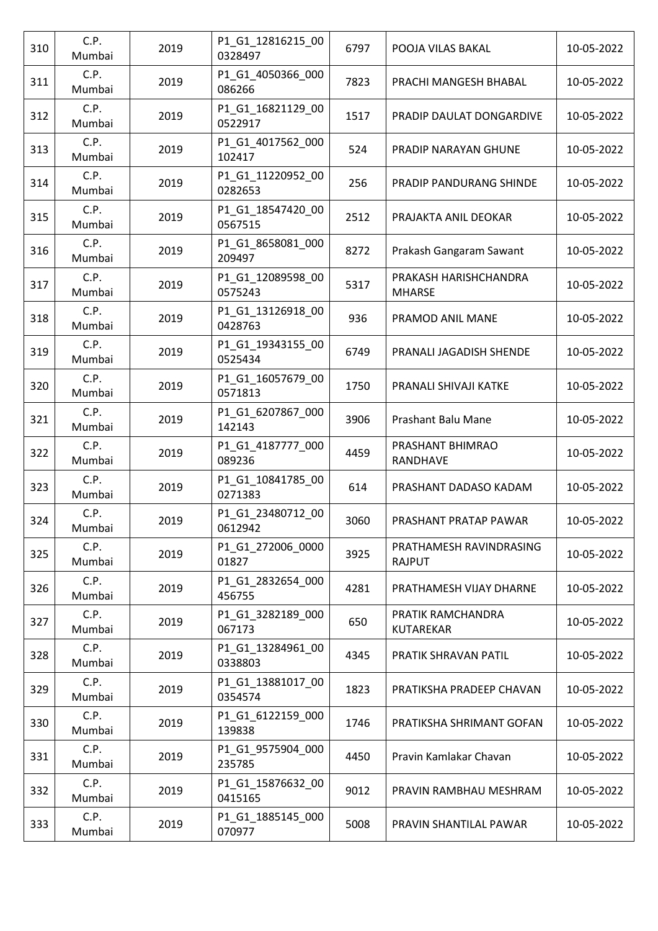| 310 | C.P.<br>Mumbai | 2019 | P1_G1_12816215_00<br>0328497 | 6797 | POOJA VILAS BAKAL                        | 10-05-2022 |
|-----|----------------|------|------------------------------|------|------------------------------------------|------------|
| 311 | C.P.<br>Mumbai | 2019 | P1_G1_4050366_000<br>086266  | 7823 | PRACHI MANGESH BHABAL                    | 10-05-2022 |
| 312 | C.P.<br>Mumbai | 2019 | P1_G1_16821129_00<br>0522917 | 1517 | PRADIP DAULAT DONGARDIVE                 | 10-05-2022 |
| 313 | C.P.<br>Mumbai | 2019 | P1_G1_4017562_000<br>102417  | 524  | <b>PRADIP NARAYAN GHUNE</b>              | 10-05-2022 |
| 314 | C.P.<br>Mumbai | 2019 | P1_G1_11220952_00<br>0282653 | 256  | PRADIP PANDURANG SHINDE                  | 10-05-2022 |
| 315 | C.P.<br>Mumbai | 2019 | P1_G1_18547420_00<br>0567515 | 2512 | PRAJAKTA ANIL DEOKAR                     | 10-05-2022 |
| 316 | C.P.<br>Mumbai | 2019 | P1_G1_8658081_000<br>209497  | 8272 | Prakash Gangaram Sawant                  | 10-05-2022 |
| 317 | C.P.<br>Mumbai | 2019 | P1_G1_12089598_00<br>0575243 | 5317 | PRAKASH HARISHCHANDRA<br><b>MHARSE</b>   | 10-05-2022 |
| 318 | C.P.<br>Mumbai | 2019 | P1_G1_13126918_00<br>0428763 | 936  | PRAMOD ANIL MANE                         | 10-05-2022 |
| 319 | C.P.<br>Mumbai | 2019 | P1_G1_19343155_00<br>0525434 | 6749 | PRANALI JAGADISH SHENDE                  | 10-05-2022 |
| 320 | C.P.<br>Mumbai | 2019 | P1_G1_16057679_00<br>0571813 | 1750 | PRANALI SHIVAJI KATKE                    | 10-05-2022 |
| 321 | C.P.<br>Mumbai | 2019 | P1_G1_6207867_000<br>142143  | 3906 | Prashant Balu Mane                       | 10-05-2022 |
| 322 | C.P.<br>Mumbai | 2019 | P1_G1_4187777_000<br>089236  | 4459 | PRASHANT BHIMRAO<br>RANDHAVE             | 10-05-2022 |
| 323 | C.P.<br>Mumbai | 2019 | P1_G1_10841785_00<br>0271383 | 614  | PRASHANT DADASO KADAM                    | 10-05-2022 |
| 324 | C.P.<br>Mumbai | 2019 | P1_G1_23480712_00<br>0612942 | 3060 | PRASHANT PRATAP PAWAR                    | 10-05-2022 |
| 325 | C.P.<br>Mumbai | 2019 | P1_G1_272006_0000<br>01827   | 3925 | PRATHAMESH RAVINDRASING<br><b>RAJPUT</b> | 10-05-2022 |
| 326 | C.P.<br>Mumbai | 2019 | P1_G1_2832654_000<br>456755  | 4281 | PRATHAMESH VIJAY DHARNE                  | 10-05-2022 |
| 327 | C.P.<br>Mumbai | 2019 | P1_G1_3282189_000<br>067173  | 650  | PRATIK RAMCHANDRA<br>KUTAREKAR           | 10-05-2022 |
| 328 | C.P.<br>Mumbai | 2019 | P1_G1_13284961_00<br>0338803 | 4345 | PRATIK SHRAVAN PATIL                     | 10-05-2022 |
| 329 | C.P.<br>Mumbai | 2019 | P1_G1_13881017_00<br>0354574 | 1823 | PRATIKSHA PRADEEP CHAVAN                 | 10-05-2022 |
| 330 | C.P.<br>Mumbai | 2019 | P1_G1_6122159_000<br>139838  | 1746 | PRATIKSHA SHRIMANT GOFAN                 | 10-05-2022 |
| 331 | C.P.<br>Mumbai | 2019 | P1_G1_9575904_000<br>235785  | 4450 | Pravin Kamlakar Chavan                   | 10-05-2022 |
| 332 | C.P.<br>Mumbai | 2019 | P1_G1_15876632_00<br>0415165 | 9012 | PRAVIN RAMBHAU MESHRAM                   | 10-05-2022 |
| 333 | C.P.<br>Mumbai | 2019 | P1_G1_1885145_000<br>070977  | 5008 | PRAVIN SHANTILAL PAWAR                   | 10-05-2022 |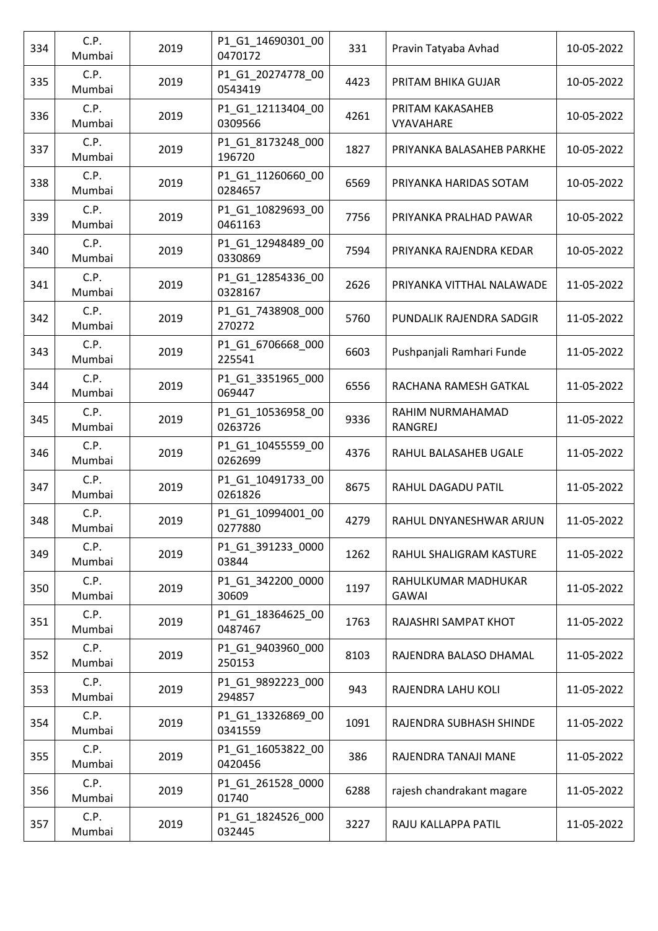| 334 | C.P.<br>Mumbai | 2019 | P1_G1_14690301_00<br>0470172 | 331  | Pravin Tatyaba Avhad                 | 10-05-2022 |
|-----|----------------|------|------------------------------|------|--------------------------------------|------------|
| 335 | C.P.<br>Mumbai | 2019 | P1_G1_20274778_00<br>0543419 | 4423 | PRITAM BHIKA GUJAR                   | 10-05-2022 |
| 336 | C.P.<br>Mumbai | 2019 | P1_G1_12113404_00<br>0309566 | 4261 | PRITAM KAKASAHEB<br><b>VYAVAHARE</b> | 10-05-2022 |
| 337 | C.P.<br>Mumbai | 2019 | P1_G1_8173248_000<br>196720  | 1827 | PRIYANKA BALASAHEB PARKHE            | 10-05-2022 |
| 338 | C.P.<br>Mumbai | 2019 | P1 G1 11260660 00<br>0284657 | 6569 | PRIYANKA HARIDAS SOTAM               | 10-05-2022 |
| 339 | C.P.<br>Mumbai | 2019 | P1_G1_10829693_00<br>0461163 | 7756 | PRIYANKA PRALHAD PAWAR               | 10-05-2022 |
| 340 | C.P.<br>Mumbai | 2019 | P1_G1_12948489_00<br>0330869 | 7594 | PRIYANKA RAJENDRA KEDAR              | 10-05-2022 |
| 341 | C.P.<br>Mumbai | 2019 | P1_G1_12854336_00<br>0328167 | 2626 | PRIYANKA VITTHAL NALAWADE            | 11-05-2022 |
| 342 | C.P.<br>Mumbai | 2019 | P1_G1_7438908_000<br>270272  | 5760 | PUNDALIK RAJENDRA SADGIR             | 11-05-2022 |
| 343 | C.P.<br>Mumbai | 2019 | P1_G1_6706668_000<br>225541  | 6603 | Pushpanjali Ramhari Funde            | 11-05-2022 |
| 344 | C.P.<br>Mumbai | 2019 | P1_G1_3351965_000<br>069447  | 6556 | RACHANA RAMESH GATKAL                | 11-05-2022 |
| 345 | C.P.<br>Mumbai | 2019 | P1_G1_10536958_00<br>0263726 | 9336 | RAHIM NURMAHAMAD<br>RANGREJ          | 11-05-2022 |
| 346 | C.P.<br>Mumbai | 2019 | P1_G1_10455559_00<br>0262699 | 4376 | RAHUL BALASAHEB UGALE                | 11-05-2022 |
| 347 | C.P.<br>Mumbai | 2019 | P1_G1_10491733_00<br>0261826 | 8675 | RAHUL DAGADU PATIL                   | 11-05-2022 |
| 348 | C.P.<br>Mumbai | 2019 | P1_G1_10994001_00<br>0277880 | 4279 | RAHUL DNYANESHWAR ARJUN              | 11-05-2022 |
| 349 | C.P.<br>Mumbai | 2019 | P1_G1_391233_0000<br>03844   | 1262 | RAHUL SHALIGRAM KASTURE              | 11-05-2022 |
| 350 | C.P.<br>Mumbai | 2019 | P1_G1_342200_0000<br>30609   | 1197 | RAHULKUMAR MADHUKAR<br><b>GAWAI</b>  | 11-05-2022 |
| 351 | C.P.<br>Mumbai | 2019 | P1_G1_18364625_00<br>0487467 | 1763 | RAJASHRI SAMPAT KHOT                 | 11-05-2022 |
| 352 | C.P.<br>Mumbai | 2019 | P1_G1_9403960_000<br>250153  | 8103 | RAJENDRA BALASO DHAMAL               | 11-05-2022 |
| 353 | C.P.<br>Mumbai | 2019 | P1_G1_9892223_000<br>294857  | 943  | RAJENDRA LAHU KOLI                   | 11-05-2022 |
| 354 | C.P.<br>Mumbai | 2019 | P1_G1_13326869_00<br>0341559 | 1091 | RAJENDRA SUBHASH SHINDE              | 11-05-2022 |
| 355 | C.P.<br>Mumbai | 2019 | P1_G1_16053822_00<br>0420456 | 386  | RAJENDRA TANAJI MANE                 | 11-05-2022 |
| 356 | C.P.<br>Mumbai | 2019 | P1_G1_261528_0000<br>01740   | 6288 | rajesh chandrakant magare            | 11-05-2022 |
| 357 | C.P.<br>Mumbai | 2019 | P1_G1_1824526_000<br>032445  | 3227 | RAJU KALLAPPA PATIL                  | 11-05-2022 |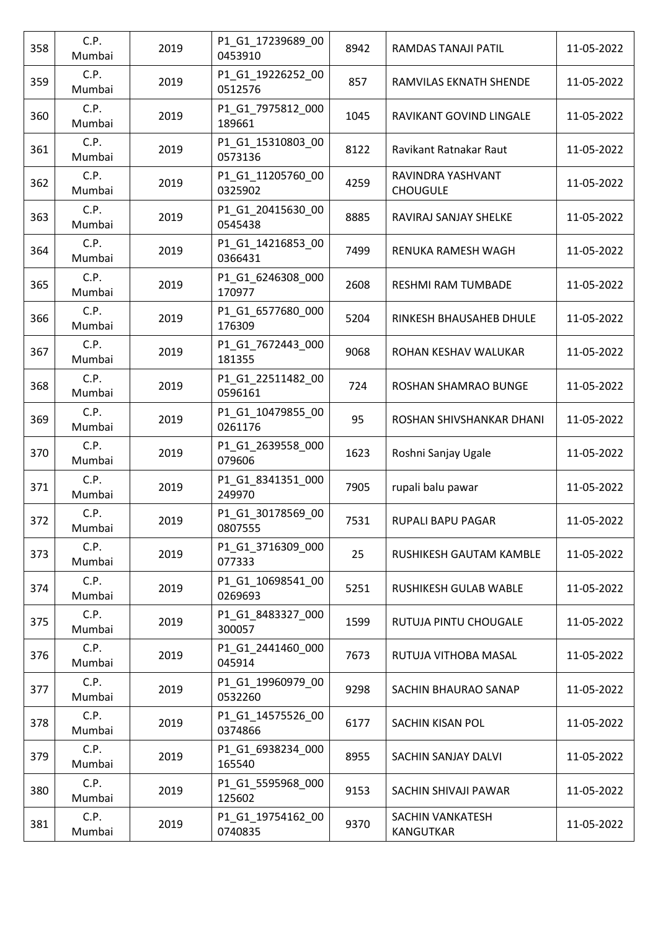| 358 | C.P.<br>Mumbai | 2019 | P1_G1_17239689_00<br>0453910 | 8942 | RAMDAS TANAJI PATIL                  | 11-05-2022 |
|-----|----------------|------|------------------------------|------|--------------------------------------|------------|
| 359 | C.P.<br>Mumbai | 2019 | P1_G1_19226252_00<br>0512576 | 857  | RAMVILAS EKNATH SHENDE               | 11-05-2022 |
| 360 | C.P.<br>Mumbai | 2019 | P1_G1_7975812_000<br>189661  | 1045 | RAVIKANT GOVIND LINGALE              | 11-05-2022 |
| 361 | C.P.<br>Mumbai | 2019 | P1_G1_15310803_00<br>0573136 | 8122 | Ravikant Ratnakar Raut               | 11-05-2022 |
| 362 | C.P.<br>Mumbai | 2019 | P1 G1 11205760 00<br>0325902 | 4259 | RAVINDRA YASHVANT<br><b>CHOUGULE</b> | 11-05-2022 |
| 363 | C.P.<br>Mumbai | 2019 | P1_G1_20415630_00<br>0545438 | 8885 | RAVIRAJ SANJAY SHELKE                | 11-05-2022 |
| 364 | C.P.<br>Mumbai | 2019 | P1_G1_14216853_00<br>0366431 | 7499 | RENUKA RAMESH WAGH                   | 11-05-2022 |
| 365 | C.P.<br>Mumbai | 2019 | P1_G1_6246308_000<br>170977  | 2608 | RESHMI RAM TUMBADE                   | 11-05-2022 |
| 366 | C.P.<br>Mumbai | 2019 | P1_G1_6577680_000<br>176309  | 5204 | RINKESH BHAUSAHEB DHULE              | 11-05-2022 |
| 367 | C.P.<br>Mumbai | 2019 | P1_G1_7672443_000<br>181355  | 9068 | ROHAN KESHAV WALUKAR                 | 11-05-2022 |
| 368 | C.P.<br>Mumbai | 2019 | P1_G1_22511482_00<br>0596161 | 724  | ROSHAN SHAMRAO BUNGE                 | 11-05-2022 |
| 369 | C.P.<br>Mumbai | 2019 | P1_G1_10479855_00<br>0261176 | 95   | ROSHAN SHIVSHANKAR DHANI             | 11-05-2022 |
| 370 | C.P.<br>Mumbai | 2019 | P1_G1_2639558_000<br>079606  | 1623 | Roshni Sanjay Ugale                  | 11-05-2022 |
| 371 | C.P.<br>Mumbai | 2019 | P1_G1_8341351_000<br>249970  | 7905 | rupali balu pawar                    | 11-05-2022 |
| 372 | C.P.<br>Mumbai | 2019 | P1_G1_30178569_00<br>0807555 | 7531 | <b>RUPALI BAPU PAGAR</b>             | 11-05-2022 |
| 373 | C.P.<br>Mumbai | 2019 | P1 G1 3716309 000<br>077333  | 25   | RUSHIKESH GAUTAM KAMBLE              | 11-05-2022 |
| 374 | C.P.<br>Mumbai | 2019 | P1 G1 10698541 00<br>0269693 | 5251 | RUSHIKESH GULAB WABLE                | 11-05-2022 |
| 375 | C.P.<br>Mumbai | 2019 | P1 G1 8483327 000<br>300057  | 1599 | RUTUJA PINTU CHOUGALE                | 11-05-2022 |
| 376 | C.P.<br>Mumbai | 2019 | P1_G1_2441460_000<br>045914  | 7673 | RUTUJA VITHOBA MASAL                 | 11-05-2022 |
| 377 | C.P.<br>Mumbai | 2019 | P1 G1 19960979 00<br>0532260 | 9298 | SACHIN BHAURAO SANAP                 | 11-05-2022 |
| 378 | C.P.<br>Mumbai | 2019 | P1_G1_14575526_00<br>0374866 | 6177 | SACHIN KISAN POL                     | 11-05-2022 |
| 379 | C.P.<br>Mumbai | 2019 | P1 G1 6938234 000<br>165540  | 8955 | SACHIN SANJAY DALVI                  | 11-05-2022 |
| 380 | C.P.<br>Mumbai | 2019 | P1_G1_5595968_000<br>125602  | 9153 | SACHIN SHIVAJI PAWAR                 | 11-05-2022 |
| 381 | C.P.<br>Mumbai | 2019 | P1_G1_19754162_00<br>0740835 | 9370 | <b>SACHIN VANKATESH</b><br>KANGUTKAR | 11-05-2022 |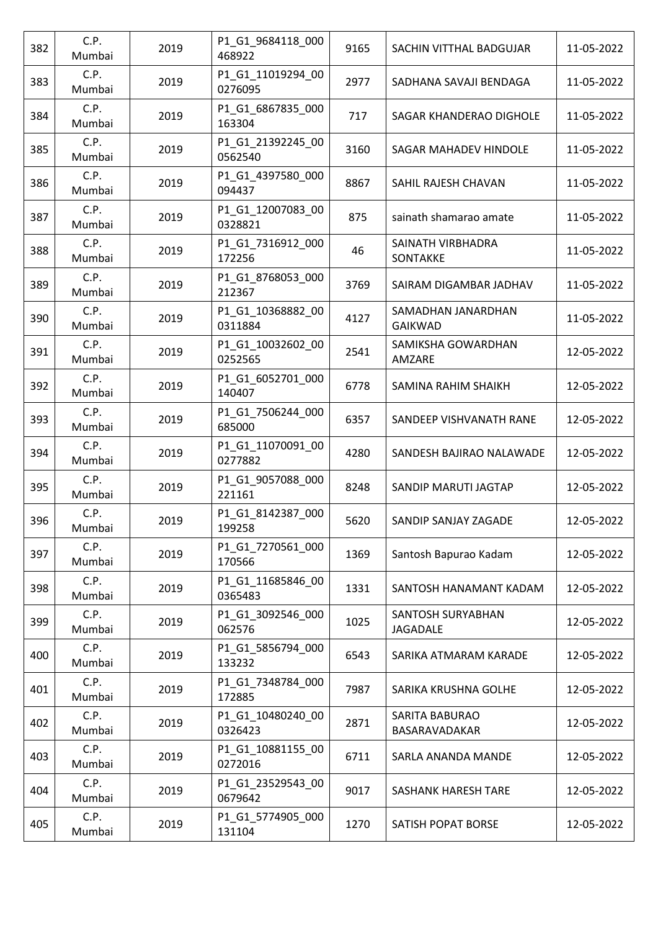| 382 | C.P.<br>Mumbai | 2019 | P1_G1_9684118_000<br>468922  | 9165 | SACHIN VITTHAL BADGUJAR                | 11-05-2022 |
|-----|----------------|------|------------------------------|------|----------------------------------------|------------|
| 383 | C.P.<br>Mumbai | 2019 | P1_G1_11019294_00<br>0276095 | 2977 | SADHANA SAVAJI BENDAGA                 | 11-05-2022 |
| 384 | C.P.<br>Mumbai | 2019 | P1_G1_6867835_000<br>163304  | 717  | SAGAR KHANDERAO DIGHOLE                | 11-05-2022 |
| 385 | C.P.<br>Mumbai | 2019 | P1_G1_21392245_00<br>0562540 | 3160 | SAGAR MAHADEV HINDOLE                  | 11-05-2022 |
| 386 | C.P.<br>Mumbai | 2019 | P1_G1_4397580_000<br>094437  | 8867 | SAHIL RAJESH CHAVAN                    | 11-05-2022 |
| 387 | C.P.<br>Mumbai | 2019 | P1_G1_12007083_00<br>0328821 | 875  | sainath shamarao amate                 | 11-05-2022 |
| 388 | C.P.<br>Mumbai | 2019 | P1_G1_7316912_000<br>172256  | 46   | SAINATH VIRBHADRA<br>SONTAKKE          | 11-05-2022 |
| 389 | C.P.<br>Mumbai | 2019 | P1_G1_8768053_000<br>212367  | 3769 | SAIRAM DIGAMBAR JADHAV                 | 11-05-2022 |
| 390 | C.P.<br>Mumbai | 2019 | P1_G1_10368882_00<br>0311884 | 4127 | SAMADHAN JANARDHAN<br><b>GAIKWAD</b>   | 11-05-2022 |
| 391 | C.P.<br>Mumbai | 2019 | P1_G1_10032602_00<br>0252565 | 2541 | SAMIKSHA GOWARDHAN<br>AMZARE           | 12-05-2022 |
| 392 | C.P.<br>Mumbai | 2019 | P1_G1_6052701_000<br>140407  | 6778 | SAMINA RAHIM SHAIKH                    | 12-05-2022 |
| 393 | C.P.<br>Mumbai | 2019 | P1_G1_7506244_000<br>685000  | 6357 | SANDEEP VISHVANATH RANE                | 12-05-2022 |
| 394 | C.P.<br>Mumbai | 2019 | P1_G1_11070091_00<br>0277882 | 4280 | SANDESH BAJIRAO NALAWADE               | 12-05-2022 |
| 395 | C.P.<br>Mumbai | 2019 | P1_G1_9057088_000<br>221161  | 8248 | SANDIP MARUTI JAGTAP                   | 12-05-2022 |
| 396 | C.P.<br>Mumbai | 2019 | P1_G1_8142387_000<br>199258  | 5620 | SANDIP SANJAY ZAGADE                   | 12-05-2022 |
| 397 | C.P.<br>Mumbai | 2019 | P1 G1 7270561 000<br>170566  | 1369 | Santosh Bapurao Kadam                  | 12-05-2022 |
| 398 | C.P.<br>Mumbai | 2019 | P1 G1 11685846 00<br>0365483 | 1331 | SANTOSH HANAMANT KADAM                 | 12-05-2022 |
| 399 | C.P.<br>Mumbai | 2019 | P1 G1 3092546 000<br>062576  | 1025 | SANTOSH SURYABHAN<br>JAGADALE          | 12-05-2022 |
| 400 | C.P.<br>Mumbai | 2019 | P1_G1_5856794_000<br>133232  | 6543 | SARIKA ATMARAM KARADE                  | 12-05-2022 |
| 401 | C.P.<br>Mumbai | 2019 | P1 G1 7348784 000<br>172885  | 7987 | SARIKA KRUSHNA GOLHE                   | 12-05-2022 |
| 402 | C.P.<br>Mumbai | 2019 | P1_G1_10480240_00<br>0326423 | 2871 | <b>SARITA BABURAO</b><br>BASARAVADAKAR | 12-05-2022 |
| 403 | C.P.<br>Mumbai | 2019 | P1 G1 10881155 00<br>0272016 | 6711 | SARLA ANANDA MANDE                     | 12-05-2022 |
| 404 | C.P.<br>Mumbai | 2019 | P1_G1_23529543_00<br>0679642 | 9017 | SASHANK HARESH TARE                    | 12-05-2022 |
| 405 | C.P.<br>Mumbai | 2019 | P1_G1_5774905_000<br>131104  | 1270 | SATISH POPAT BORSE                     | 12-05-2022 |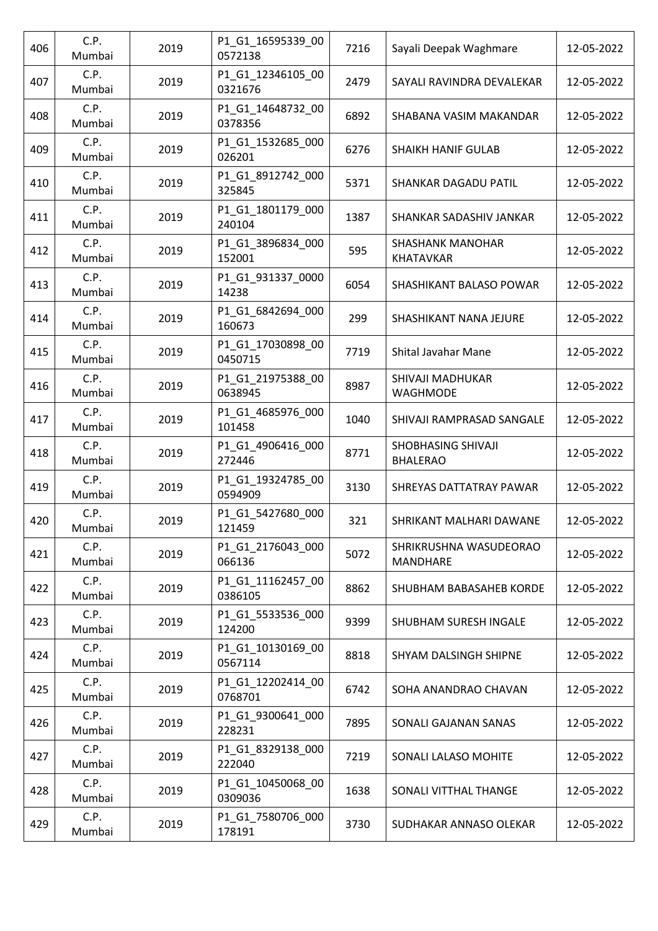| 406 | C.P.<br>Mumbai | 2019 | P1_G1_16595339_00<br>0572138 | 7216 | Sayali Deepak Waghmare                      | 12-05-2022 |
|-----|----------------|------|------------------------------|------|---------------------------------------------|------------|
| 407 | C.P.<br>Mumbai | 2019 | P1_G1_12346105_00<br>0321676 | 2479 | SAYALI RAVINDRA DEVALEKAR                   | 12-05-2022 |
| 408 | C.P.<br>Mumbai | 2019 | P1 G1 14648732 00<br>0378356 | 6892 | SHABANA VASIM MAKANDAR                      | 12-05-2022 |
| 409 | C.P.<br>Mumbai | 2019 | P1_G1_1532685_000<br>026201  | 6276 | <b>SHAIKH HANIF GULAB</b>                   | 12-05-2022 |
| 410 | C.P.<br>Mumbai | 2019 | P1_G1_8912742_000<br>325845  | 5371 | SHANKAR DAGADU PATIL                        | 12-05-2022 |
| 411 | C.P.<br>Mumbai | 2019 | P1_G1_1801179_000<br>240104  | 1387 | SHANKAR SADASHIV JANKAR                     | 12-05-2022 |
| 412 | C.P.<br>Mumbai | 2019 | P1_G1_3896834_000<br>152001  | 595  | <b>SHASHANK MANOHAR</b><br><b>KHATAVKAR</b> | 12-05-2022 |
| 413 | C.P.<br>Mumbai | 2019 | P1_G1_931337_0000<br>14238   | 6054 | SHASHIKANT BALASO POWAR                     | 12-05-2022 |
| 414 | C.P.<br>Mumbai | 2019 | P1_G1_6842694_000<br>160673  | 299  | SHASHIKANT NANA JEJURE                      | 12-05-2022 |
| 415 | C.P.<br>Mumbai | 2019 | P1_G1_17030898_00<br>0450715 | 7719 | Shital Javahar Mane                         | 12-05-2022 |
| 416 | C.P.<br>Mumbai | 2019 | P1_G1_21975388_00<br>0638945 | 8987 | SHIVAJI MADHUKAR<br>WAGHMODE                | 12-05-2022 |
| 417 | C.P.<br>Mumbai | 2019 | P1_G1_4685976_000<br>101458  | 1040 | SHIVAJI RAMPRASAD SANGALE                   | 12-05-2022 |
| 418 | C.P.<br>Mumbai | 2019 | P1_G1_4906416_000<br>272446  | 8771 | SHOBHASING SHIVAJI<br><b>BHALERAO</b>       | 12-05-2022 |
| 419 | C.P.<br>Mumbai | 2019 | P1_G1_19324785_00<br>0594909 | 3130 | <b>SHREYAS DATTATRAY PAWAR</b>              | 12-05-2022 |
| 420 | C.P.<br>Mumbai | 2019 | P1_G1_5427680_000<br>121459  | 321  | SHRIKANT MALHARI DAWANE                     | 12-05-2022 |
| 421 | C.P.<br>Mumbai | 2019 | P1 G1 2176043 000<br>066136  | 5072 | SHRIKRUSHNA WASUDEORAO<br><b>MANDHARE</b>   | 12-05-2022 |
| 422 | C.P.<br>Mumbai | 2019 | P1 G1 11162457 00<br>0386105 | 8862 | SHUBHAM BABASAHEB KORDE                     | 12-05-2022 |
| 423 | C.P.<br>Mumbai | 2019 | P1_G1_5533536_000<br>124200  | 9399 | SHUBHAM SURESH INGALE                       | 12-05-2022 |
| 424 | C.P.<br>Mumbai | 2019 | P1_G1_10130169_00<br>0567114 | 8818 | SHYAM DALSINGH SHIPNE                       | 12-05-2022 |
| 425 | C.P.<br>Mumbai | 2019 | P1_G1_12202414_00<br>0768701 | 6742 | SOHA ANANDRAO CHAVAN                        | 12-05-2022 |
| 426 | C.P.<br>Mumbai | 2019 | P1_G1_9300641_000<br>228231  | 7895 | SONALI GAJANAN SANAS                        | 12-05-2022 |
| 427 | C.P.<br>Mumbai | 2019 | P1_G1_8329138_000<br>222040  | 7219 | SONALI LALASO MOHITE                        | 12-05-2022 |
| 428 | C.P.<br>Mumbai | 2019 | P1_G1_10450068_00<br>0309036 | 1638 | SONALI VITTHAL THANGE                       | 12-05-2022 |
| 429 | C.P.<br>Mumbai | 2019 | P1_G1_7580706_000<br>178191  | 3730 | SUDHAKAR ANNASO OLEKAR                      | 12-05-2022 |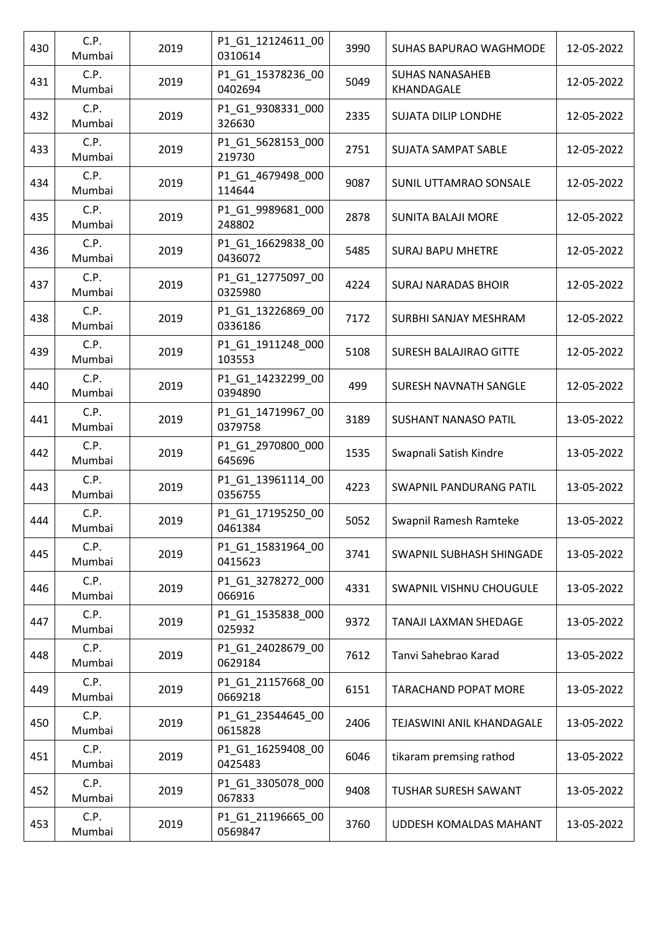| 430 | C.P.<br>Mumbai | 2019 | P1_G1_12124611_00<br>0310614 | 3990 | SUHAS BAPURAO WAGHMODE               | 12-05-2022 |
|-----|----------------|------|------------------------------|------|--------------------------------------|------------|
| 431 | C.P.<br>Mumbai | 2019 | P1_G1_15378236_00<br>0402694 | 5049 | <b>SUHAS NANASAHEB</b><br>KHANDAGALE | 12-05-2022 |
| 432 | C.P.<br>Mumbai | 2019 | P1_G1_9308331_000<br>326630  | 2335 | <b>SUJATA DILIP LONDHE</b>           | 12-05-2022 |
| 433 | C.P.<br>Mumbai | 2019 | P1_G1_5628153_000<br>219730  | 2751 | SUJATA SAMPAT SABLE                  | 12-05-2022 |
| 434 | C.P.<br>Mumbai | 2019 | P1_G1_4679498_000<br>114644  | 9087 | SUNIL UTTAMRAO SONSALE               | 12-05-2022 |
| 435 | C.P.<br>Mumbai | 2019 | P1_G1_9989681_000<br>248802  | 2878 | <b>SUNITA BALAJI MORE</b>            | 12-05-2022 |
| 436 | C.P.<br>Mumbai | 2019 | P1_G1_16629838_00<br>0436072 | 5485 | <b>SURAJ BAPU MHETRE</b>             | 12-05-2022 |
| 437 | C.P.<br>Mumbai | 2019 | P1_G1_12775097_00<br>0325980 | 4224 | <b>SURAJ NARADAS BHOIR</b>           | 12-05-2022 |
| 438 | C.P.<br>Mumbai | 2019 | P1_G1_13226869_00<br>0336186 | 7172 | SURBHI SANJAY MESHRAM                | 12-05-2022 |
| 439 | C.P.<br>Mumbai | 2019 | P1_G1_1911248_000<br>103553  | 5108 | <b>SURESH BALAJIRAO GITTE</b>        | 12-05-2022 |
| 440 | C.P.<br>Mumbai | 2019 | P1_G1_14232299_00<br>0394890 | 499  | SURESH NAVNATH SANGLE                | 12-05-2022 |
| 441 | C.P.<br>Mumbai | 2019 | P1_G1_14719967_00<br>0379758 | 3189 | <b>SUSHANT NANASO PATIL</b>          | 13-05-2022 |
| 442 | C.P.<br>Mumbai | 2019 | P1_G1_2970800_000<br>645696  | 1535 | Swapnali Satish Kindre               | 13-05-2022 |
| 443 | C.P.<br>Mumbai | 2019 | P1_G1_13961114_00<br>0356755 | 4223 | <b>SWAPNIL PANDURANG PATIL</b>       | 13-05-2022 |
| 444 | C.P.<br>Mumbai | 2019 | P1_G1_17195250_00<br>0461384 | 5052 | Swapnil Ramesh Ramteke               | 13-05-2022 |
| 445 | C.P.<br>Mumbai | 2019 | P1_G1_15831964_00<br>0415623 | 3741 | SWAPNIL SUBHASH SHINGADE             | 13-05-2022 |
| 446 | C.P.<br>Mumbai | 2019 | P1_G1_3278272_000<br>066916  | 4331 | SWAPNIL VISHNU CHOUGULE              | 13-05-2022 |
| 447 | C.P.<br>Mumbai | 2019 | P1_G1_1535838_000<br>025932  | 9372 | <b>TANAJI LAXMAN SHEDAGE</b>         | 13-05-2022 |
| 448 | C.P.<br>Mumbai | 2019 | P1_G1_24028679_00<br>0629184 | 7612 | Tanvi Sahebrao Karad                 | 13-05-2022 |
| 449 | C.P.<br>Mumbai | 2019 | P1_G1_21157668_00<br>0669218 | 6151 | <b>TARACHAND POPAT MORE</b>          | 13-05-2022 |
| 450 | C.P.<br>Mumbai | 2019 | P1_G1_23544645_00<br>0615828 | 2406 | TEJASWINI ANIL KHANDAGALE            | 13-05-2022 |
| 451 | C.P.<br>Mumbai | 2019 | P1_G1_16259408_00<br>0425483 | 6046 | tikaram premsing rathod              | 13-05-2022 |
| 452 | C.P.<br>Mumbai | 2019 | P1_G1_3305078_000<br>067833  | 9408 | TUSHAR SURESH SAWANT                 | 13-05-2022 |
| 453 | C.P.<br>Mumbai | 2019 | P1_G1_21196665_00<br>0569847 | 3760 | UDDESH KOMALDAS MAHANT               | 13-05-2022 |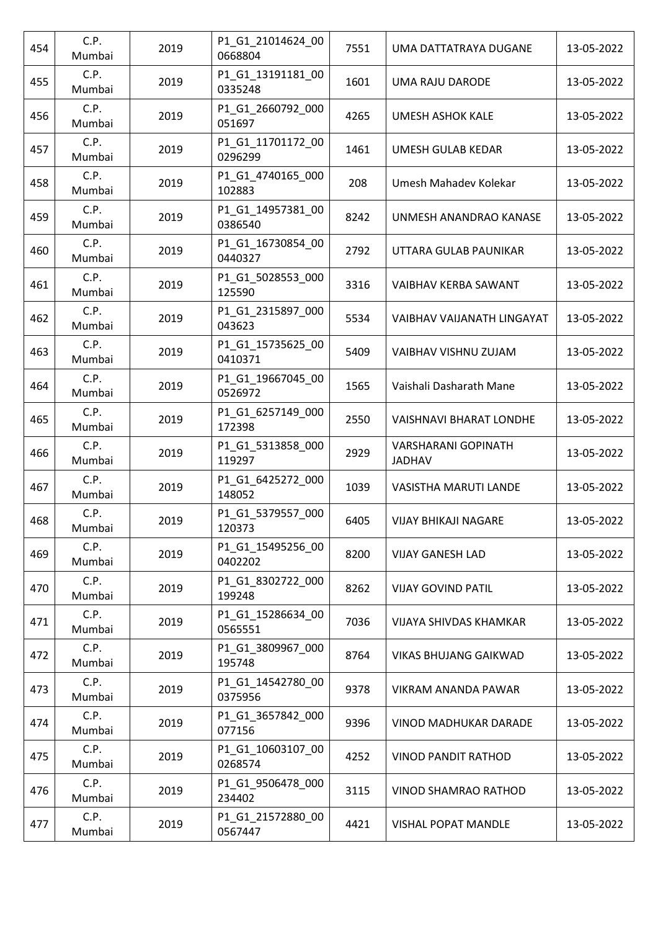| 454 | C.P.<br>Mumbai | 2019 | P1_G1_21014624_00<br>0668804 | 7551 | UMA DATTATRAYA DUGANE                       | 13-05-2022 |
|-----|----------------|------|------------------------------|------|---------------------------------------------|------------|
| 455 | C.P.<br>Mumbai | 2019 | P1_G1_13191181_00<br>0335248 | 1601 | <b>UMA RAJU DARODE</b>                      | 13-05-2022 |
| 456 | C.P.<br>Mumbai | 2019 | P1_G1_2660792_000<br>051697  | 4265 | <b>UMESH ASHOK KALE</b>                     | 13-05-2022 |
| 457 | C.P.<br>Mumbai | 2019 | P1_G1_11701172_00<br>0296299 | 1461 | UMESH GULAB KEDAR                           | 13-05-2022 |
| 458 | C.P.<br>Mumbai | 2019 | P1_G1_4740165_000<br>102883  | 208  | Umesh Mahadev Kolekar                       | 13-05-2022 |
| 459 | C.P.<br>Mumbai | 2019 | P1_G1_14957381_00<br>0386540 | 8242 | UNMESH ANANDRAO KANASE                      | 13-05-2022 |
| 460 | C.P.<br>Mumbai | 2019 | P1_G1_16730854_00<br>0440327 | 2792 | UTTARA GULAB PAUNIKAR                       | 13-05-2022 |
| 461 | C.P.<br>Mumbai | 2019 | P1_G1_5028553_000<br>125590  | 3316 | VAIBHAV KERBA SAWANT                        | 13-05-2022 |
| 462 | C.P.<br>Mumbai | 2019 | P1_G1_2315897_000<br>043623  | 5534 | VAIBHAV VAIJANATH LINGAYAT                  | 13-05-2022 |
| 463 | C.P.<br>Mumbai | 2019 | P1_G1_15735625_00<br>0410371 | 5409 | VAIBHAV VISHNU ZUJAM                        | 13-05-2022 |
| 464 | C.P.<br>Mumbai | 2019 | P1_G1_19667045_00<br>0526972 | 1565 | Vaishali Dasharath Mane                     | 13-05-2022 |
| 465 | C.P.<br>Mumbai | 2019 | P1_G1_6257149_000<br>172398  | 2550 | <b>VAISHNAVI BHARAT LONDHE</b>              | 13-05-2022 |
| 466 | C.P.<br>Mumbai | 2019 | P1_G1_5313858_000<br>119297  | 2929 | <b>VARSHARANI GOPINATH</b><br><b>JADHAV</b> | 13-05-2022 |
| 467 | C.P.<br>Mumbai | 2019 | P1_G1_6425272_000<br>148052  | 1039 | VASISTHA MARUTI LANDE                       | 13-05-2022 |
| 468 | C.P.<br>Mumbai | 2019 | P1_G1_5379557_000<br>120373  | 6405 | <b>VIJAY BHIKAJI NAGARE</b>                 | 13-05-2022 |
| 469 | C.P.<br>Mumbai | 2019 | P1_G1_15495256_00<br>0402202 | 8200 | <b>VIJAY GANESH LAD</b>                     | 13-05-2022 |
| 470 | C.P.<br>Mumbai | 2019 | P1_G1_8302722_000<br>199248  | 8262 | <b>VIJAY GOVIND PATIL</b>                   | 13-05-2022 |
| 471 | C.P.<br>Mumbai | 2019 | P1_G1_15286634_00<br>0565551 | 7036 | <b>VIJAYA SHIVDAS KHAMKAR</b>               | 13-05-2022 |
| 472 | C.P.<br>Mumbai | 2019 | P1_G1_3809967_000<br>195748  | 8764 | <b>VIKAS BHUJANG GAIKWAD</b>                | 13-05-2022 |
| 473 | C.P.<br>Mumbai | 2019 | P1_G1_14542780_00<br>0375956 | 9378 | VIKRAM ANANDA PAWAR                         | 13-05-2022 |
| 474 | C.P.<br>Mumbai | 2019 | P1_G1_3657842_000<br>077156  | 9396 | VINOD MADHUKAR DARADE                       | 13-05-2022 |
| 475 | C.P.<br>Mumbai | 2019 | P1_G1_10603107_00<br>0268574 | 4252 | <b>VINOD PANDIT RATHOD</b>                  | 13-05-2022 |
| 476 | C.P.<br>Mumbai | 2019 | P1_G1_9506478_000<br>234402  | 3115 | VINOD SHAMRAO RATHOD                        | 13-05-2022 |
| 477 | C.P.<br>Mumbai | 2019 | P1_G1_21572880_00<br>0567447 | 4421 | <b>VISHAL POPAT MANDLE</b>                  | 13-05-2022 |